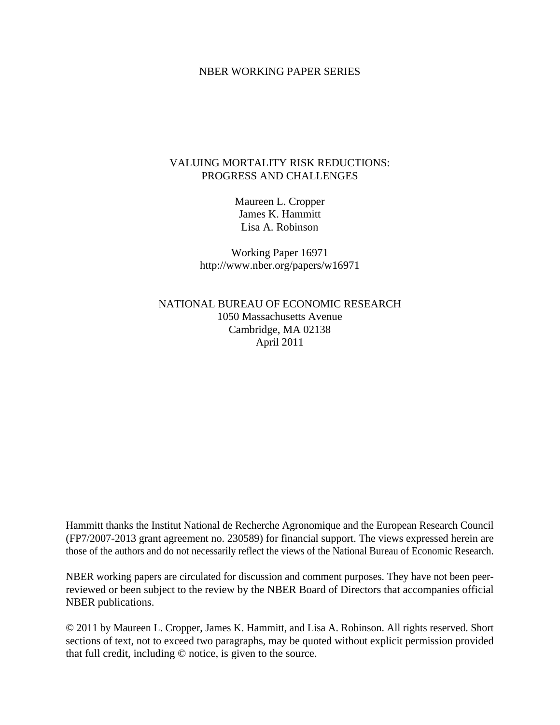### NBER WORKING PAPER SERIES

# VALUING MORTALITY RISK REDUCTIONS: PROGRESS AND CHALLENGES

Maureen L. Cropper James K. Hammitt Lisa A. Robinson

Working Paper 16971 http://www.nber.org/papers/w16971

NATIONAL BUREAU OF ECONOMIC RESEARCH 1050 Massachusetts Avenue Cambridge, MA 02138 April 2011

Hammitt thanks the Institut National de Recherche Agronomique and the European Research Council (FP7/2007-2013 grant agreement no. 230589) for financial support. The views expressed herein are those of the authors and do not necessarily reflect the views of the National Bureau of Economic Research.

NBER working papers are circulated for discussion and comment purposes. They have not been peerreviewed or been subject to the review by the NBER Board of Directors that accompanies official NBER publications.

© 2011 by Maureen L. Cropper, James K. Hammitt, and Lisa A. Robinson. All rights reserved. Short sections of text, not to exceed two paragraphs, may be quoted without explicit permission provided that full credit, including © notice, is given to the source.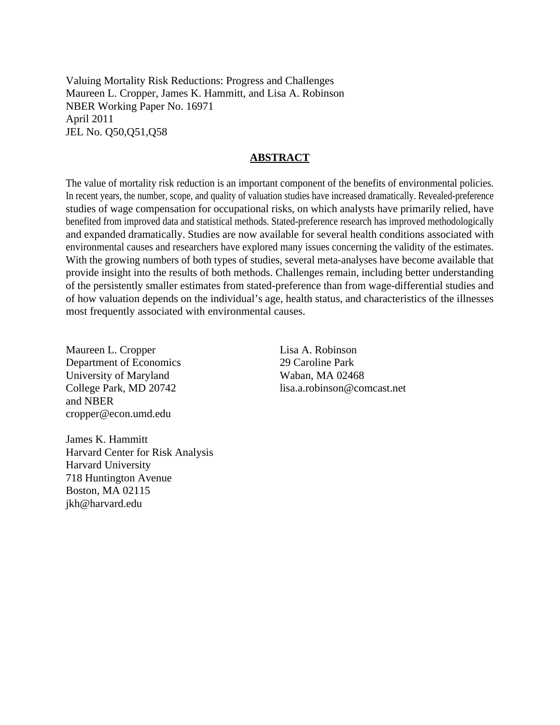Valuing Mortality Risk Reductions: Progress and Challenges Maureen L. Cropper, James K. Hammitt, and Lisa A. Robinson NBER Working Paper No. 16971 April 2011 JEL No. Q50,Q51,Q58

# **ABSTRACT**

The value of mortality risk reduction is an important component of the benefits of environmental policies. In recent years, the number, scope, and quality of valuation studies have increased dramatically. Revealed-preference studies of wage compensation for occupational risks, on which analysts have primarily relied, have benefited from improved data and statistical methods. Stated-preference research has improved methodologically and expanded dramatically. Studies are now available for several health conditions associated with environmental causes and researchers have explored many issues concerning the validity of the estimates. With the growing numbers of both types of studies, several meta-analyses have become available that provide insight into the results of both methods. Challenges remain, including better understanding of the persistently smaller estimates from stated-preference than from wage-differential studies and of how valuation depends on the individual's age, health status, and characteristics of the illnesses most frequently associated with environmental causes.

Maureen L. Cropper Department of Economics University of Maryland College Park, MD 20742 and NBER cropper@econ.umd.edu

Lisa A. Robinson 29 Caroline Park Waban, MA 02468 lisa.a.robinson@comcast.net

James K. Hammitt Harvard Center for Risk Analysis Harvard University 718 Huntington Avenue Boston, MA 02115 jkh@harvard.edu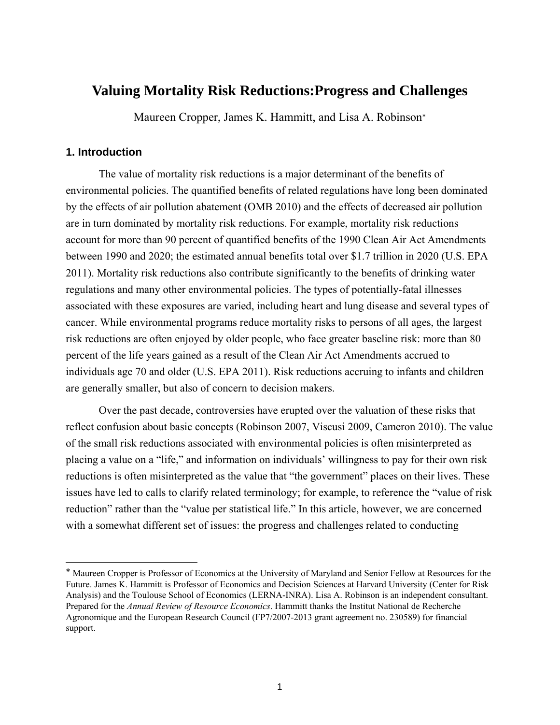# **Valuing Mortality Risk Reductions:Progress and Challenges**

Maureen Cropper, James K. Hammitt, and Lisa A. Robinson

# **1. Introduction**

 $\overline{a}$ 

The value of mortality risk reductions is a major determinant of the benefits of environmental policies. The quantified benefits of related regulations have long been dominated by the effects of air pollution abatement (OMB 2010) and the effects of decreased air pollution are in turn dominated by mortality risk reductions. For example, mortality risk reductions account for more than 90 percent of quantified benefits of the 1990 Clean Air Act Amendments between 1990 and 2020; the estimated annual benefits total over \$1.7 trillion in 2020 (U.S. EPA 2011). Mortality risk reductions also contribute significantly to the benefits of drinking water regulations and many other environmental policies. The types of potentially-fatal illnesses associated with these exposures are varied, including heart and lung disease and several types of cancer. While environmental programs reduce mortality risks to persons of all ages, the largest risk reductions are often enjoyed by older people, who face greater baseline risk: more than 80 percent of the life years gained as a result of the Clean Air Act Amendments accrued to individuals age 70 and older (U.S. EPA 2011). Risk reductions accruing to infants and children are generally smaller, but also of concern to decision makers.

Over the past decade, controversies have erupted over the valuation of these risks that reflect confusion about basic concepts (Robinson 2007, Viscusi 2009, Cameron 2010). The value of the small risk reductions associated with environmental policies is often misinterpreted as placing a value on a "life," and information on individuals' willingness to pay for their own risk reductions is often misinterpreted as the value that "the government" places on their lives. These issues have led to calls to clarify related terminology; for example, to reference the "value of risk reduction" rather than the "value per statistical life." In this article, however, we are concerned with a somewhat different set of issues: the progress and challenges related to conducting

Maureen Cropper is Professor of Economics at the University of Maryland and Senior Fellow at Resources for the Future. James K. Hammitt is Professor of Economics and Decision Sciences at Harvard University (Center for Risk Analysis) and the Toulouse School of Economics (LERNA-INRA). Lisa A. Robinson is an independent consultant. Prepared for the *Annual Review of Resource Economics*. Hammitt thanks the Institut National de Recherche Agronomique and the European Research Council (FP7/2007-2013 grant agreement no. 230589) for financial support.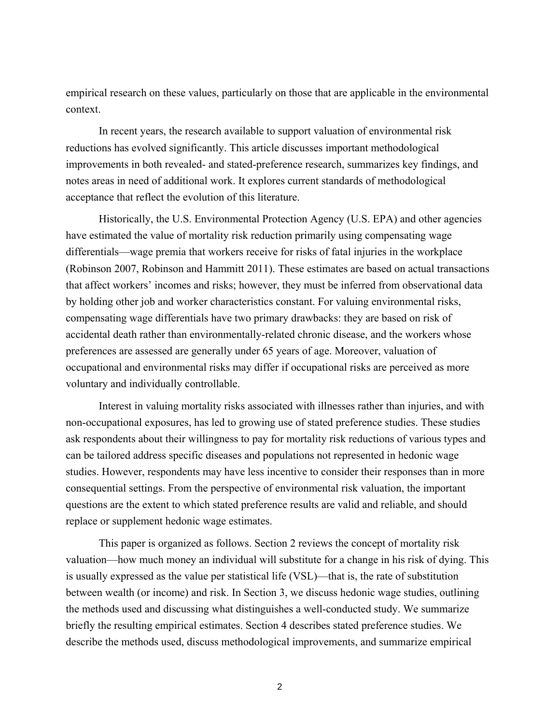empirical research on these values, particularly on those that are applicable in the environmental context.

In recent years, the research available to support valuation of environmental risk reductions has evolved significantly. This article discusses important methodological improvements in both revealed- and stated-preference research, summarizes key findings, and notes areas in need of additional work. It explores current standards of methodological acceptance that reflect the evolution of this literature.

Historically, the U.S. Environmental Protection Agency (U.S. EPA) and other agencies have estimated the value of mortality risk reduction primarily using compensating wage differentials—wage premia that workers receive for risks of fatal injuries in the workplace (Robinson 2007, Robinson and Hammitt 2011). These estimates are based on actual transactions that affect workers' incomes and risks; however, they must be inferred from observational data by holding other job and worker characteristics constant. For valuing environmental risks, compensating wage differentials have two primary drawbacks: they are based on risk of accidental death rather than environmentally-related chronic disease, and the workers whose preferences are assessed are generally under 65 years of age. Moreover, valuation of occupational and environmental risks may differ if occupational risks are perceived as more voluntary and individually controllable.

Interest in valuing mortality risks associated with illnesses rather than injuries, and with non-occupational exposures, has led to growing use of stated preference studies. These studies ask respondents about their willingness to pay for mortality risk reductions of various types and can be tailored address specific diseases and populations not represented in hedonic wage studies. However, respondents may have less incentive to consider their responses than in more consequential settings. From the perspective of environmental risk valuation, the important questions are the extent to which stated preference results are valid and reliable, and should replace or supplement hedonic wage estimates.

This paper is organized as follows. Section 2 reviews the concept of mortality risk valuation—how much money an individual will substitute for a change in his risk of dying. This is usually expressed as the value per statistical life (VSL)—that is, the rate of substitution between wealth (or income) and risk. In Section 3, we discuss hedonic wage studies, outlining the methods used and discussing what distinguishes a well-conducted study. We summarize briefly the resulting empirical estimates. Section 4 describes stated preference studies. We describe the methods used, discuss methodological improvements, and summarize empirical

2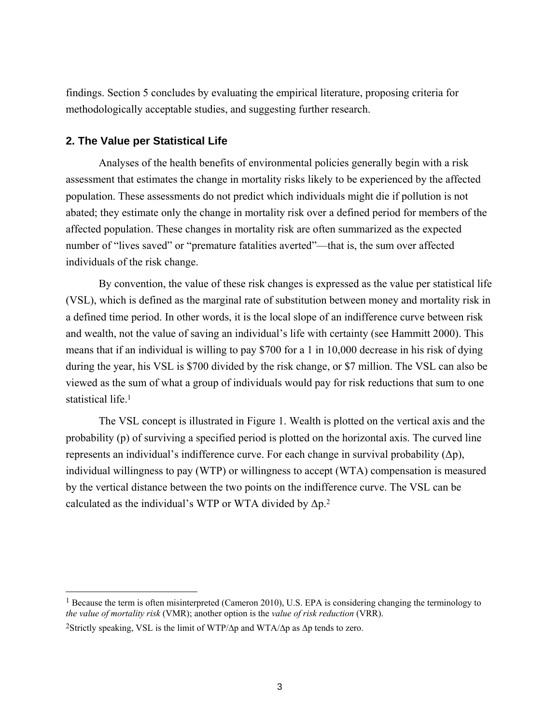findings. Section 5 concludes by evaluating the empirical literature, proposing criteria for methodologically acceptable studies, and suggesting further research.

# **2. The Value per Statistical Life**

Analyses of the health benefits of environmental policies generally begin with a risk assessment that estimates the change in mortality risks likely to be experienced by the affected population. These assessments do not predict which individuals might die if pollution is not abated; they estimate only the change in mortality risk over a defined period for members of the affected population. These changes in mortality risk are often summarized as the expected number of "lives saved" or "premature fatalities averted"—that is, the sum over affected individuals of the risk change.

By convention, the value of these risk changes is expressed as the value per statistical life (VSL), which is defined as the marginal rate of substitution between money and mortality risk in a defined time period. In other words, it is the local slope of an indifference curve between risk and wealth, not the value of saving an individual's life with certainty (see Hammitt 2000). This means that if an individual is willing to pay \$700 for a 1 in 10,000 decrease in his risk of dying during the year, his VSL is \$700 divided by the risk change, or \$7 million. The VSL can also be viewed as the sum of what a group of individuals would pay for risk reductions that sum to one statistical life.<sup>1</sup>

The VSL concept is illustrated in Figure 1. Wealth is plotted on the vertical axis and the probability (p) of surviving a specified period is plotted on the horizontal axis. The curved line represents an individual's indifference curve. For each change in survival probability  $(\Delta p)$ , individual willingness to pay (WTP) or willingness to accept (WTA) compensation is measured by the vertical distance between the two points on the indifference curve. The VSL can be calculated as the individual's WTP or WTA divided by  $\Delta p$ <sup>2</sup>.

<sup>&</sup>lt;sup>1</sup> Because the term is often misinterpreted (Cameron 2010), U.S. EPA is considering changing the terminology to *the value of mortality risk* (VMR); another option is the *value of risk reduction* (VRR).

<sup>&</sup>lt;sup>2</sup>Strictly speaking, VSL is the limit of WTP/ $\Delta p$  and WTA/ $\Delta p$  as  $\Delta p$  tends to zero.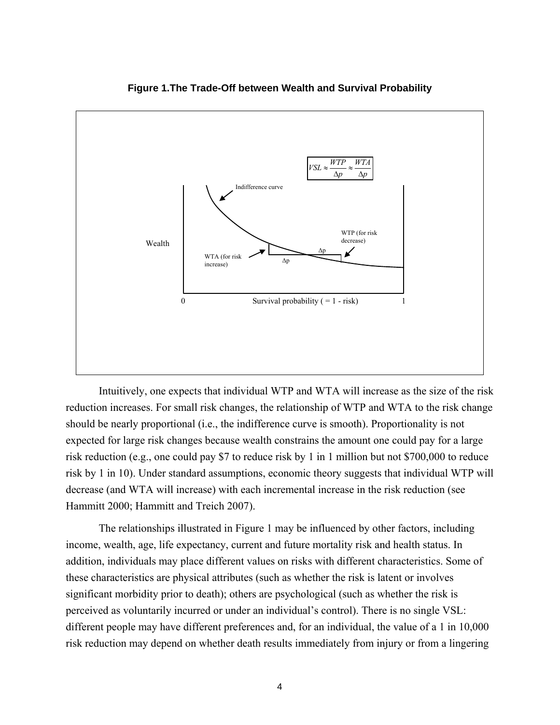

**Figure 1.The Trade-Off between Wealth and Survival Probability** 

Intuitively, one expects that individual WTP and WTA will increase as the size of the risk reduction increases. For small risk changes, the relationship of WTP and WTA to the risk change should be nearly proportional (i.e., the indifference curve is smooth). Proportionality is not expected for large risk changes because wealth constrains the amount one could pay for a large risk reduction (e.g., one could pay \$7 to reduce risk by 1 in 1 million but not \$700,000 to reduce risk by 1 in 10). Under standard assumptions, economic theory suggests that individual WTP will decrease (and WTA will increase) with each incremental increase in the risk reduction (see Hammitt 2000; Hammitt and Treich 2007).

The relationships illustrated in Figure 1 may be influenced by other factors, including income, wealth, age, life expectancy, current and future mortality risk and health status. In addition, individuals may place different values on risks with different characteristics. Some of these characteristics are physical attributes (such as whether the risk is latent or involves significant morbidity prior to death); others are psychological (such as whether the risk is perceived as voluntarily incurred or under an individual's control). There is no single VSL: different people may have different preferences and, for an individual, the value of a 1 in 10,000 risk reduction may depend on whether death results immediately from injury or from a lingering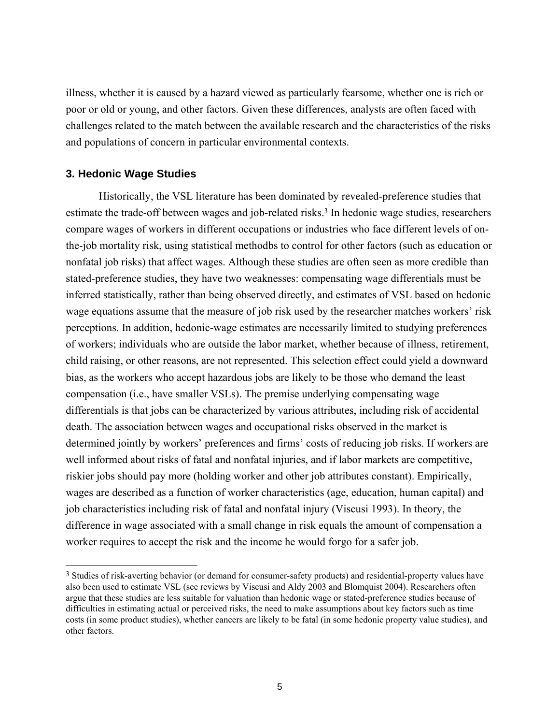illness, whether it is caused by a hazard viewed as particularly fearsome, whether one is rich or poor or old or young, and other factors. Given these differences, analysts are often faced with challenges related to the match between the available research and the characteristics of the risks and populations of concern in particular environmental contexts.

# **3. Hedonic Wage Studies**

 $\overline{a}$ 

Historically, the VSL literature has been dominated by revealed-preference studies that estimate the trade-off between wages and job-related risks.<sup>3</sup> In hedonic wage studies, researchers compare wages of workers in different occupations or industries who face different levels of onthe-job mortality risk, using statistical methodbs to control for other factors (such as education or nonfatal job risks) that affect wages. Although these studies are often seen as more credible than stated-preference studies, they have two weaknesses: compensating wage differentials must be inferred statistically, rather than being observed directly, and estimates of VSL based on hedonic wage equations assume that the measure of job risk used by the researcher matches workers' risk perceptions. In addition, hedonic-wage estimates are necessarily limited to studying preferences of workers; individuals who are outside the labor market, whether because of illness, retirement, child raising, or other reasons, are not represented. This selection effect could yield a downward bias, as the workers who accept hazardous jobs are likely to be those who demand the least compensation (i.e., have smaller VSLs). The premise underlying compensating wage differentials is that jobs can be characterized by various attributes, including risk of accidental death. The association between wages and occupational risks observed in the market is determined jointly by workers' preferences and firms' costs of reducing job risks. If workers are well informed about risks of fatal and nonfatal injuries, and if labor markets are competitive, riskier jobs should pay more (holding worker and other job attributes constant). Empirically, wages are described as a function of worker characteristics (age, education, human capital) and job characteristics including risk of fatal and nonfatal injury (Viscusi 1993). In theory, the difference in wage associated with a small change in risk equals the amount of compensation a worker requires to accept the risk and the income he would forgo for a safer job.

<sup>&</sup>lt;sup>3</sup> Studies of risk-averting behavior (or demand for consumer-safety products) and residential-property values have also been used to estimate VSL (see reviews by Viscusi and Aldy 2003 and Blomquist 2004). Researchers often argue that these studies are less suitable for valuation than hedonic wage or stated-preference studies because of difficulties in estimating actual or perceived risks, the need to make assumptions about key factors such as time costs (in some product studies), whether cancers are likely to be fatal (in some hedonic property value studies), and other factors.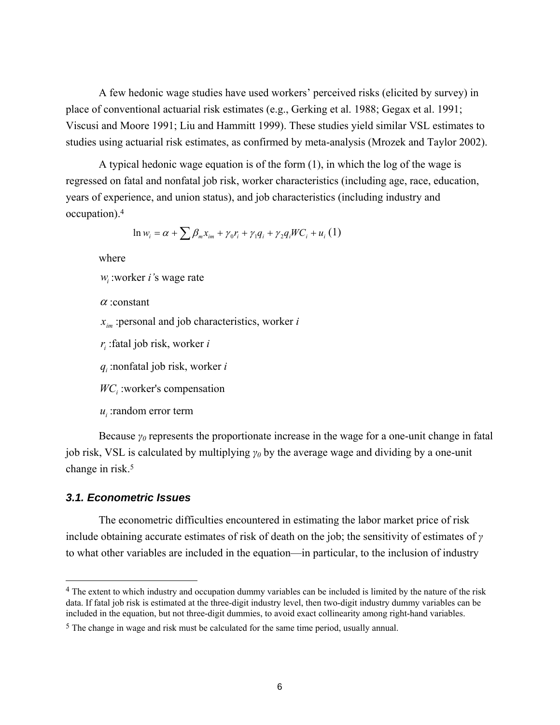A few hedonic wage studies have used workers' perceived risks (elicited by survey) in place of conventional actuarial risk estimates (e.g., Gerking et al. 1988; Gegax et al. 1991; Viscusi and Moore 1991; Liu and Hammitt 1999). These studies yield similar VSL estimates to studies using actuarial risk estimates, as confirmed by meta-analysis (Mrozek and Taylor 2002).

A typical hedonic wage equation is of the form (1), in which the log of the wage is regressed on fatal and nonfatal job risk, worker characteristics (including age, race, education, years of experience, and union status), and job characteristics (including industry and occupation).4

$$
\ln w_{i} = \alpha + \sum \beta_{m} x_{im} + \gamma_{0} r_{i} + \gamma_{1} q_{i} + \gamma_{2} q_{i} W C_{i} + u_{i} (1)
$$

where

:worker *i'*s wage rate *wi*

 $\alpha$ :constant

:personal and job characteristics, worker *i im x*

:fatal job risk, worker *i ir*

:nonfatal job risk, worker *i qi*

*WC*<sub>*i*</sub> :worker's compensation

 $u_i$ : random error term

Because *γ0* represents the proportionate increase in the wage for a one-unit change in fatal job risk, VSL is calculated by multiplying *γ0* by the average wage and dividing by a one-unit change in risk.5

# *3.1. Econometric Issues*

 $\overline{a}$ 

The econometric difficulties encountered in estimating the labor market price of risk include obtaining accurate estimates of risk of death on the job; the sensitivity of estimates of *γ* to what other variables are included in the equation—in particular, to the inclusion of industry

<sup>4</sup> The extent to which industry and occupation dummy variables can be included is limited by the nature of the risk data. If fatal job risk is estimated at the three-digit industry level, then two-digit industry dummy variables can be included in the equation, but not three-digit dummies, to avoid exact collinearity among right-hand variables.

<sup>5</sup> The change in wage and risk must be calculated for the same time period, usually annual.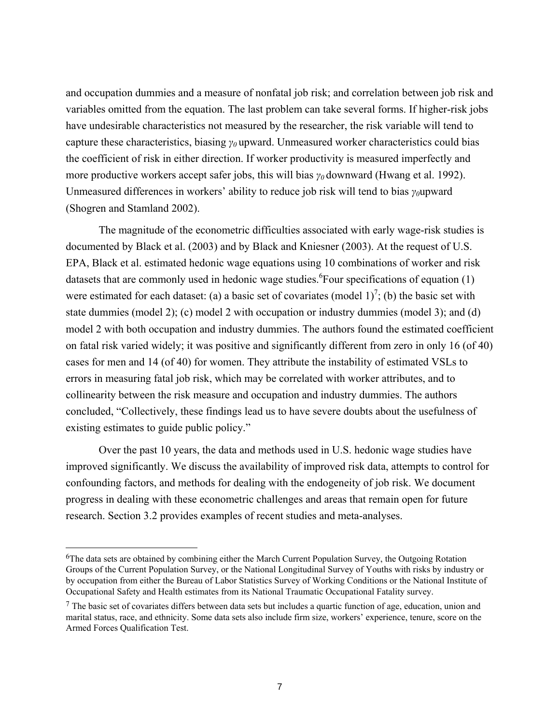and occupation dummies and a measure of nonfatal job risk; and correlation between job risk and variables omitted from the equation. The last problem can take several forms. If higher-risk jobs have undesirable characteristics not measured by the researcher, the risk variable will tend to capture these characteristics, biasing *γ0* upward. Unmeasured worker characteristics could bias the coefficient of risk in either direction. If worker productivity is measured imperfectly and more productive workers accept safer jobs, this will bias *γ0* downward (Hwang et al. 1992). Unmeasured differences in workers' ability to reduce job risk will tend to bias *γ0*upward (Shogren and Stamland 2002).

The magnitude of the econometric difficulties associated with early wage-risk studies is documented by Black et al. (2003) and by Black and Kniesner (2003). At the request of U.S. EPA, Black et al. estimated hedonic wage equations using 10 combinations of worker and risk datasets that are commonly used in hedonic wage studies.  $\epsilon$  Four specifications of equation (1) were estimated for each dataset: (a) a basic set of covariates (model 1)<sup>7</sup>; (b) the basic set with state dummies (model 2); (c) model 2 with occupation or industry dummies (model 3); and (d) model 2 with both occupation and industry dummies. The authors found the estimated coefficient on fatal risk varied widely; it was positive and significantly different from zero in only 16 (of 40) cases for men and 14 (of 40) for women. They attribute the instability of estimated VSLs to errors in measuring fatal job risk, which may be correlated with worker attributes, and to collinearity between the risk measure and occupation and industry dummies. The authors concluded, "Collectively, these findings lead us to have severe doubts about the usefulness of existing estimates to guide public policy."

Over the past 10 years, the data and methods used in U.S. hedonic wage studies have improved significantly. We discuss the availability of improved risk data, attempts to control for confounding factors, and methods for dealing with the endogeneity of job risk. We document progress in dealing with these econometric challenges and areas that remain open for future research. Section 3.2 provides examples of recent studies and meta-analyses.

<sup>6</sup>The data sets are obtained by combining either the March Current Population Survey, the Outgoing Rotation Groups of the Current Population Survey, or the National Longitudinal Survey of Youths with risks by industry or by occupation from either the Bureau of Labor Statistics Survey of Working Conditions or the National Institute of Occupational Safety and Health estimates from its National Traumatic Occupational Fatality survey.

 $<sup>7</sup>$  The basic set of covariates differs between data sets but includes a quartic function of age, education, union and</sup> marital status, race, and ethnicity. Some data sets also include firm size, workers' experience, tenure, score on the Armed Forces Qualification Test.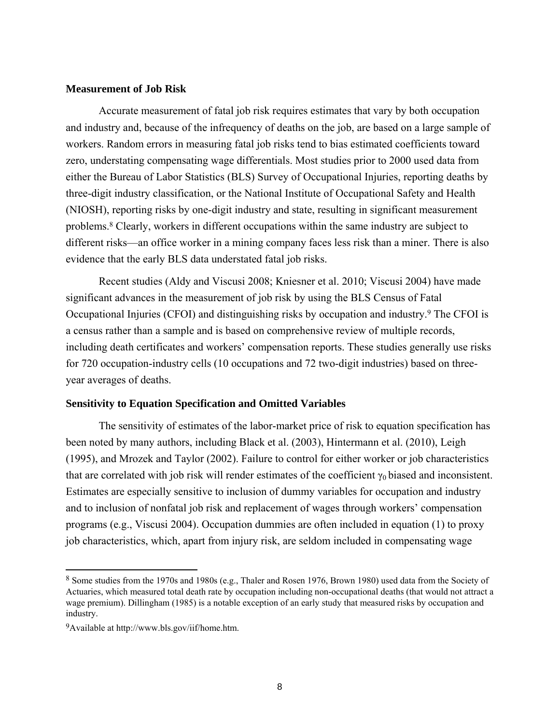#### **Measurement of Job Risk**

Accurate measurement of fatal job risk requires estimates that vary by both occupation and industry and, because of the infrequency of deaths on the job, are based on a large sample of workers. Random errors in measuring fatal job risks tend to bias estimated coefficients toward zero, understating compensating wage differentials. Most studies prior to 2000 used data from either the Bureau of Labor Statistics (BLS) Survey of Occupational Injuries, reporting deaths by three-digit industry classification, or the National Institute of Occupational Safety and Health (NIOSH), reporting risks by one-digit industry and state, resulting in significant measurement problems.8 Clearly, workers in different occupations within the same industry are subject to different risks—an office worker in a mining company faces less risk than a miner. There is also evidence that the early BLS data understated fatal job risks.

Recent studies (Aldy and Viscusi 2008; Kniesner et al. 2010; Viscusi 2004) have made significant advances in the measurement of job risk by using the BLS Census of Fatal Occupational Injuries (CFOI) and distinguishing risks by occupation and industry.9 The CFOI is a census rather than a sample and is based on comprehensive review of multiple records, including death certificates and workers' compensation reports. These studies generally use risks for 720 occupation-industry cells (10 occupations and 72 two-digit industries) based on threeyear averages of deaths.

### **Sensitivity to Equation Specification and Omitted Variables**

The sensitivity of estimates of the labor-market price of risk to equation specification has been noted by many authors, including Black et al. (2003), Hintermann et al. (2010), Leigh (1995), and Mrozek and Taylor (2002). Failure to control for either worker or job characteristics that are correlated with job risk will render estimates of the coefficient  $\gamma_0$  biased and inconsistent. Estimates are especially sensitive to inclusion of dummy variables for occupation and industry and to inclusion of nonfatal job risk and replacement of wages through workers' compensation programs (e.g., Viscusi 2004). Occupation dummies are often included in equation (1) to proxy job characteristics, which, apart from injury risk, are seldom included in compensating wage

<sup>8</sup> Some studies from the 1970s and 1980s (e.g., Thaler and Rosen 1976, Brown 1980) used data from the Society of Actuaries, which measured total death rate by occupation including non-occupational deaths (that would not attract a wage premium). Dillingham (1985) is a notable exception of an early study that measured risks by occupation and industry.

<sup>9</sup>Available at http://www.bls.gov/iif/home.htm.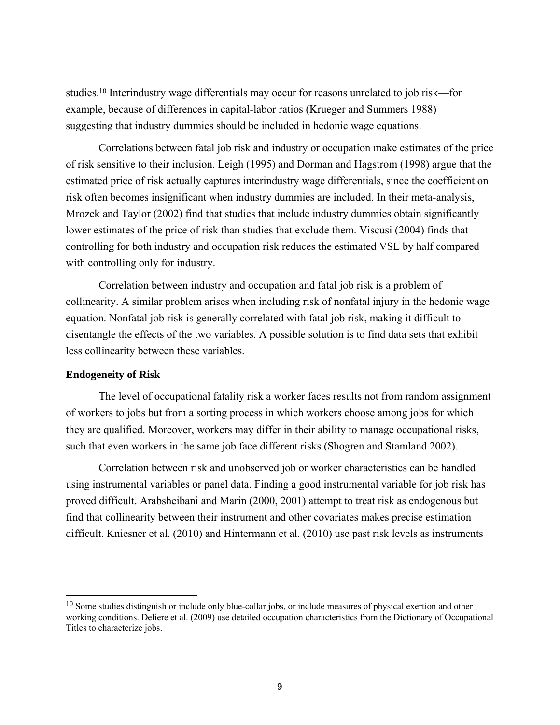studies.10 Interindustry wage differentials may occur for reasons unrelated to job risk—for example, because of differences in capital-labor ratios (Krueger and Summers 1988) suggesting that industry dummies should be included in hedonic wage equations.

Correlations between fatal job risk and industry or occupation make estimates of the price of risk sensitive to their inclusion. Leigh (1995) and Dorman and Hagstrom (1998) argue that the estimated price of risk actually captures interindustry wage differentials, since the coefficient on risk often becomes insignificant when industry dummies are included. In their meta-analysis, Mrozek and Taylor (2002) find that studies that include industry dummies obtain significantly lower estimates of the price of risk than studies that exclude them. Viscusi (2004) finds that controlling for both industry and occupation risk reduces the estimated VSL by half compared with controlling only for industry.

Correlation between industry and occupation and fatal job risk is a problem of collinearity. A similar problem arises when including risk of nonfatal injury in the hedonic wage equation. Nonfatal job risk is generally correlated with fatal job risk, making it difficult to disentangle the effects of the two variables. A possible solution is to find data sets that exhibit less collinearity between these variables.

### **Endogeneity of Risk**

1

The level of occupational fatality risk a worker faces results not from random assignment of workers to jobs but from a sorting process in which workers choose among jobs for which they are qualified. Moreover, workers may differ in their ability to manage occupational risks, such that even workers in the same job face different risks (Shogren and Stamland 2002).

Correlation between risk and unobserved job or worker characteristics can be handled using instrumental variables or panel data. Finding a good instrumental variable for job risk has proved difficult. Arabsheibani and Marin (2000, 2001) attempt to treat risk as endogenous but find that collinearity between their instrument and other covariates makes precise estimation difficult. Kniesner et al. (2010) and Hintermann et al. (2010) use past risk levels as instruments

<sup>&</sup>lt;sup>10</sup> Some studies distinguish or include only blue-collar jobs, or include measures of physical exertion and other working conditions. Deliere et al. (2009) use detailed occupation characteristics from the Dictionary of Occupational Titles to characterize jobs.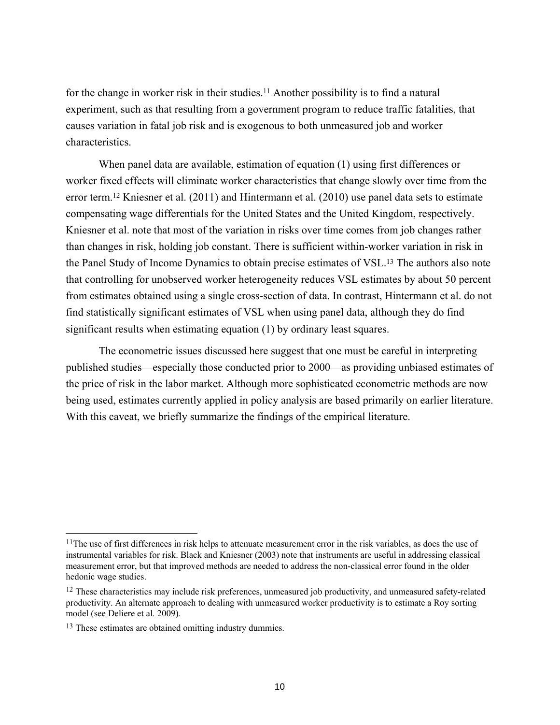for the change in worker risk in their studies.11 Another possibility is to find a natural experiment, such as that resulting from a government program to reduce traffic fatalities, that causes variation in fatal job risk and is exogenous to both unmeasured job and worker characteristics.

When panel data are available, estimation of equation (1) using first differences or worker fixed effects will eliminate worker characteristics that change slowly over time from the error term.12 Kniesner et al. (2011) and Hintermann et al. (2010) use panel data sets to estimate compensating wage differentials for the United States and the United Kingdom, respectively. Kniesner et al. note that most of the variation in risks over time comes from job changes rather than changes in risk, holding job constant. There is sufficient within-worker variation in risk in the Panel Study of Income Dynamics to obtain precise estimates of VSL.13 The authors also note that controlling for unobserved worker heterogeneity reduces VSL estimates by about 50 percent from estimates obtained using a single cross-section of data. In contrast, Hintermann et al. do not find statistically significant estimates of VSL when using panel data, although they do find significant results when estimating equation (1) by ordinary least squares.

The econometric issues discussed here suggest that one must be careful in interpreting published studies—especially those conducted prior to 2000—as providing unbiased estimates of the price of risk in the labor market. Although more sophisticated econometric methods are now being used, estimates currently applied in policy analysis are based primarily on earlier literature. With this caveat, we briefly summarize the findings of the empirical literature.

 $11$ The use of first differences in risk helps to attenuate measurement error in the risk variables, as does the use of instrumental variables for risk. Black and Kniesner (2003) note that instruments are useful in addressing classical measurement error, but that improved methods are needed to address the non-classical error found in the older hedonic wage studies.

<sup>&</sup>lt;sup>12</sup> These characteristics may include risk preferences, unmeasured job productivity, and unmeasured safety-related productivity. An alternate approach to dealing with unmeasured worker productivity is to estimate a Roy sorting model (see Deliere et al. 2009).

<sup>13</sup> These estimates are obtained omitting industry dummies.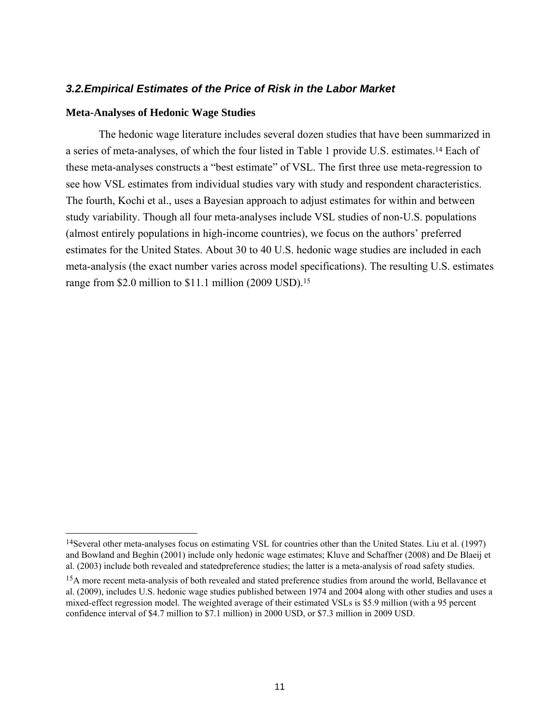## *3.2.Empirical Estimates of the Price of Risk in the Labor Market*

#### **Meta-Analyses of Hedonic Wage Studies**

 $\overline{a}$ 

The hedonic wage literature includes several dozen studies that have been summarized in a series of meta-analyses, of which the four listed in Table 1 provide U.S. estimates.14 Each of these meta-analyses constructs a "best estimate" of VSL. The first three use meta-regression to see how VSL estimates from individual studies vary with study and respondent characteristics. The fourth, Kochi et al., uses a Bayesian approach to adjust estimates for within and between study variability. Though all four meta-analyses include VSL studies of non-U.S. populations (almost entirely populations in high-income countries), we focus on the authors' preferred estimates for the United States. About 30 to 40 U.S. hedonic wage studies are included in each meta-analysis (the exact number varies across model specifications). The resulting U.S. estimates range from \$2.0 million to \$11.1 million (2009 USD).<sup>15</sup>

<sup>14</sup>Several other meta-analyses focus on estimating VSL for countries other than the United States. Liu et al. (1997) and Bowland and Beghin (2001) include only hedonic wage estimates; Kluve and Schaffner (2008) and De Blaeij et al. (2003) include both revealed and statedpreference studies; the latter is a meta-analysis of road safety studies.

<sup>&</sup>lt;sup>15</sup>A more recent meta-analysis of both revealed and stated preference studies from around the world, Bellavance et al. (2009), includes U.S. hedonic wage studies published between 1974 and 2004 along with other studies and uses a mixed-effect regression model. The weighted average of their estimated VSLs is \$5.9 million (with a 95 percent confidence interval of \$4.7 million to \$7.1 million) in 2000 USD, or \$7.3 million in 2009 USD.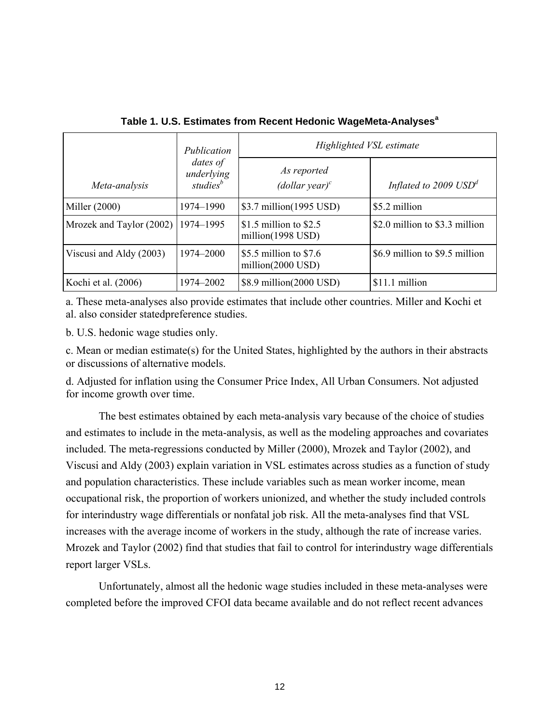|                          | Publication                                    | Highlighted VSL estimate                                |                                 |
|--------------------------|------------------------------------------------|---------------------------------------------------------|---------------------------------|
| Meta-analysis            | dates of<br>underlying<br>studies <sup>b</sup> | As reported<br>$(dollar year)^c$                        | Inflated to 2009 $\text{USD}^d$ |
| Miller (2000)            | 1974-1990                                      | \$3.7 million(1995 USD)                                 | \$5.2 million                   |
| Mrozek and Taylor (2002) | 1974-1995                                      | \$1.5 million to \$2.5<br>million $(1998$ USD)          | \$2.0 million to \$3.3 million  |
| Viscusi and Aldy (2003)  | 1974–2000                                      | \$5.5 million to $$7.6$<br>million $(2000 \text{ USD})$ | \$6.9 million to \$9.5 million  |
| Kochi et al. $(2006)$    | 1974-2002                                      | \$8.9 million(2000 USD)                                 | \$11.1 million                  |

**Table 1. U.S. Estimates from Recent Hedonic WageMeta-Analyses<sup>a</sup>**

a. These meta-analyses also provide estimates that include other countries. Miller and Kochi et al. also consider statedpreference studies.

b. U.S. hedonic wage studies only.

c. Mean or median estimate(s) for the United States, highlighted by the authors in their abstracts or discussions of alternative models.

d. Adjusted for inflation using the Consumer Price Index, All Urban Consumers. Not adjusted for income growth over time.

The best estimates obtained by each meta-analysis vary because of the choice of studies and estimates to include in the meta-analysis, as well as the modeling approaches and covariates included. The meta-regressions conducted by Miller (2000), Mrozek and Taylor (2002), and Viscusi and Aldy (2003) explain variation in VSL estimates across studies as a function of study and population characteristics. These include variables such as mean worker income, mean occupational risk, the proportion of workers unionized, and whether the study included controls for interindustry wage differentials or nonfatal job risk. All the meta-analyses find that VSL increases with the average income of workers in the study, although the rate of increase varies. Mrozek and Taylor (2002) find that studies that fail to control for interindustry wage differentials report larger VSLs.

Unfortunately, almost all the hedonic wage studies included in these meta-analyses were completed before the improved CFOI data became available and do not reflect recent advances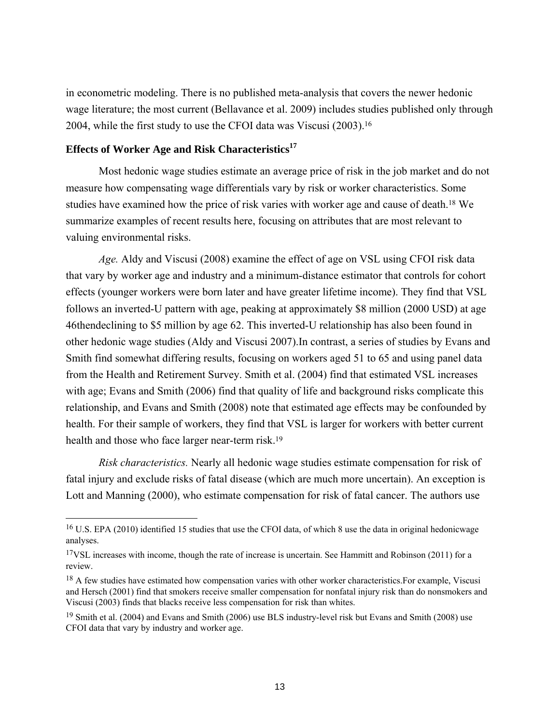in econometric modeling. There is no published meta-analysis that covers the newer hedonic wage literature; the most current (Bellavance et al. 2009) includes studies published only through 2004, while the first study to use the CFOI data was Viscusi (2003).16

# **Effects of Worker Age and Risk Characteristics<sup>17</sup>**

 $\overline{a}$ 

Most hedonic wage studies estimate an average price of risk in the job market and do not measure how compensating wage differentials vary by risk or worker characteristics. Some studies have examined how the price of risk varies with worker age and cause of death.18 We summarize examples of recent results here, focusing on attributes that are most relevant to valuing environmental risks.

*Age.* Aldy and Viscusi (2008) examine the effect of age on VSL using CFOI risk data that vary by worker age and industry and a minimum-distance estimator that controls for cohort effects (younger workers were born later and have greater lifetime income). They find that VSL follows an inverted-U pattern with age, peaking at approximately \$8 million (2000 USD) at age 46thendeclining to \$5 million by age 62. This inverted-U relationship has also been found in other hedonic wage studies (Aldy and Viscusi 2007).In contrast, a series of studies by Evans and Smith find somewhat differing results, focusing on workers aged 51 to 65 and using panel data from the Health and Retirement Survey. Smith et al. (2004) find that estimated VSL increases with age; Evans and Smith (2006) find that quality of life and background risks complicate this relationship, and Evans and Smith (2008) note that estimated age effects may be confounded by health. For their sample of workers, they find that VSL is larger for workers with better current health and those who face larger near-term risk.<sup>19</sup>

*Risk characteristics.* Nearly all hedonic wage studies estimate compensation for risk of fatal injury and exclude risks of fatal disease (which are much more uncertain). An exception is Lott and Manning (2000), who estimate compensation for risk of fatal cancer. The authors use

<sup>16</sup> U.S. EPA (2010) identified 15 studies that use the CFOI data, of which 8 use the data in original hedonicwage analyses.

<sup>17</sup>VSL increases with income, though the rate of increase is uncertain. See Hammitt and Robinson (2011) for a review.

<sup>&</sup>lt;sup>18</sup> A few studies have estimated how compensation varies with other worker characteristics. For example, Viscusi and Hersch (2001) find that smokers receive smaller compensation for nonfatal injury risk than do nonsmokers and Viscusi (2003) finds that blacks receive less compensation for risk than whites.

<sup>&</sup>lt;sup>19</sup> Smith et al. (2004) and Evans and Smith (2006) use BLS industry-level risk but Evans and Smith (2008) use CFOI data that vary by industry and worker age.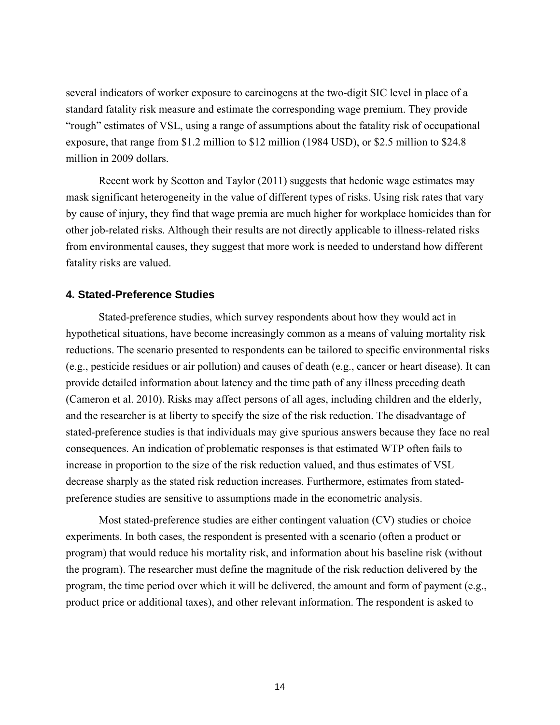several indicators of worker exposure to carcinogens at the two-digit SIC level in place of a standard fatality risk measure and estimate the corresponding wage premium. They provide "rough" estimates of VSL, using a range of assumptions about the fatality risk of occupational exposure, that range from \$1.2 million to \$12 million (1984 USD), or \$2.5 million to \$24.8 million in 2009 dollars.

Recent work by Scotton and Taylor (2011) suggests that hedonic wage estimates may mask significant heterogeneity in the value of different types of risks. Using risk rates that vary by cause of injury, they find that wage premia are much higher for workplace homicides than for other job-related risks. Although their results are not directly applicable to illness-related risks from environmental causes, they suggest that more work is needed to understand how different fatality risks are valued.

# **4. Stated-Preference Studies**

Stated-preference studies, which survey respondents about how they would act in hypothetical situations, have become increasingly common as a means of valuing mortality risk reductions. The scenario presented to respondents can be tailored to specific environmental risks (e.g., pesticide residues or air pollution) and causes of death (e.g., cancer or heart disease). It can provide detailed information about latency and the time path of any illness preceding death (Cameron et al. 2010). Risks may affect persons of all ages, including children and the elderly, and the researcher is at liberty to specify the size of the risk reduction. The disadvantage of stated-preference studies is that individuals may give spurious answers because they face no real consequences. An indication of problematic responses is that estimated WTP often fails to increase in proportion to the size of the risk reduction valued, and thus estimates of VSL decrease sharply as the stated risk reduction increases. Furthermore, estimates from statedpreference studies are sensitive to assumptions made in the econometric analysis.

Most stated-preference studies are either contingent valuation (CV) studies or choice experiments. In both cases, the respondent is presented with a scenario (often a product or program) that would reduce his mortality risk, and information about his baseline risk (without the program). The researcher must define the magnitude of the risk reduction delivered by the program, the time period over which it will be delivered, the amount and form of payment (e.g., product price or additional taxes), and other relevant information. The respondent is asked to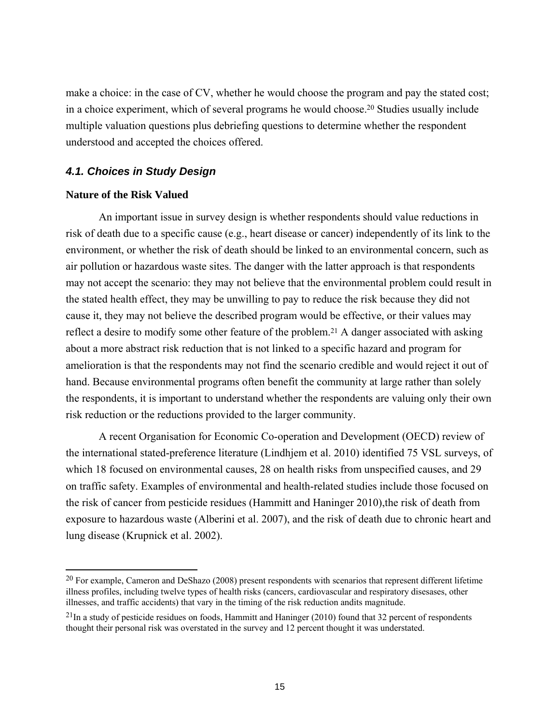make a choice: in the case of CV, whether he would choose the program and pay the stated cost; in a choice experiment, which of several programs he would choose.20 Studies usually include multiple valuation questions plus debriefing questions to determine whether the respondent understood and accepted the choices offered.

# *4.1. Choices in Study Design*

# **Nature of the Risk Valued**

1

An important issue in survey design is whether respondents should value reductions in risk of death due to a specific cause (e.g., heart disease or cancer) independently of its link to the environment, or whether the risk of death should be linked to an environmental concern, such as air pollution or hazardous waste sites. The danger with the latter approach is that respondents may not accept the scenario: they may not believe that the environmental problem could result in the stated health effect, they may be unwilling to pay to reduce the risk because they did not cause it, they may not believe the described program would be effective, or their values may reflect a desire to modify some other feature of the problem.21 A danger associated with asking about a more abstract risk reduction that is not linked to a specific hazard and program for amelioration is that the respondents may not find the scenario credible and would reject it out of hand. Because environmental programs often benefit the community at large rather than solely the respondents, it is important to understand whether the respondents are valuing only their own risk reduction or the reductions provided to the larger community.

A recent Organisation for Economic Co-operation and Development (OECD) review of the international stated-preference literature (Lindhjem et al. 2010) identified 75 VSL surveys, of which 18 focused on environmental causes, 28 on health risks from unspecified causes, and 29 on traffic safety. Examples of environmental and health-related studies include those focused on the risk of cancer from pesticide residues (Hammitt and Haninger 2010),the risk of death from exposure to hazardous waste (Alberini et al. 2007), and the risk of death due to chronic heart and lung disease (Krupnick et al. 2002).

<sup>&</sup>lt;sup>20</sup> For example, Cameron and DeShazo (2008) present respondents with scenarios that represent different lifetime illness profiles, including twelve types of health risks (cancers, cardiovascular and respiratory disesases, other illnesses, and traffic accidents) that vary in the timing of the risk reduction andits magnitude.

 $^{21}$ In a study of pesticide residues on foods, Hammitt and Haninger (2010) found that 32 percent of respondents thought their personal risk was overstated in the survey and 12 percent thought it was understated.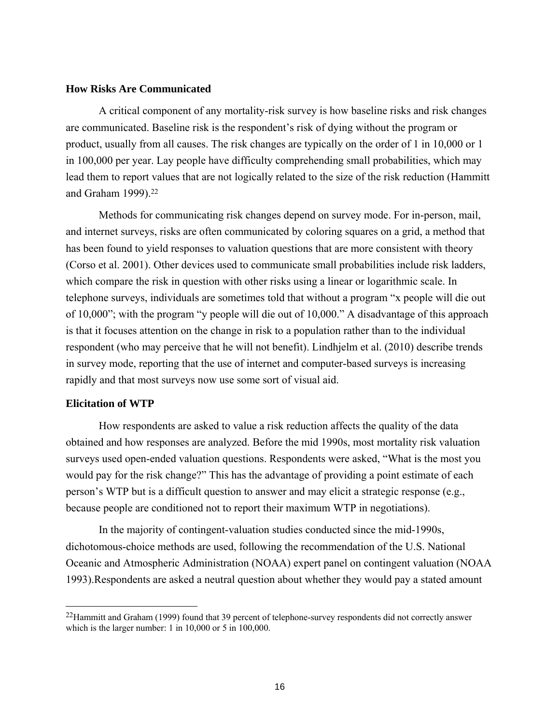#### **How Risks Are Communicated**

A critical component of any mortality-risk survey is how baseline risks and risk changes are communicated. Baseline risk is the respondent's risk of dying without the program or product, usually from all causes. The risk changes are typically on the order of 1 in 10,000 or 1 in 100,000 per year. Lay people have difficulty comprehending small probabilities, which may lead them to report values that are not logically related to the size of the risk reduction (Hammitt and Graham 1999).<sup>22</sup>

Methods for communicating risk changes depend on survey mode. For in-person, mail, and internet surveys, risks are often communicated by coloring squares on a grid, a method that has been found to yield responses to valuation questions that are more consistent with theory (Corso et al. 2001). Other devices used to communicate small probabilities include risk ladders, which compare the risk in question with other risks using a linear or logarithmic scale. In telephone surveys, individuals are sometimes told that without a program "x people will die out of 10,000"; with the program "y people will die out of 10,000." A disadvantage of this approach is that it focuses attention on the change in risk to a population rather than to the individual respondent (who may perceive that he will not benefit). Lindhjelm et al. (2010) describe trends in survey mode, reporting that the use of internet and computer-based surveys is increasing rapidly and that most surveys now use some sort of visual aid.

#### **Elicitation of WTP**

 $\overline{a}$ 

How respondents are asked to value a risk reduction affects the quality of the data obtained and how responses are analyzed. Before the mid 1990s, most mortality risk valuation surveys used open-ended valuation questions. Respondents were asked, "What is the most you would pay for the risk change?" This has the advantage of providing a point estimate of each person's WTP but is a difficult question to answer and may elicit a strategic response (e.g., because people are conditioned not to report their maximum WTP in negotiations).

In the majority of contingent-valuation studies conducted since the mid-1990s, dichotomous-choice methods are used, following the recommendation of the U.S. National Oceanic and Atmospheric Administration (NOAA) expert panel on contingent valuation (NOAA 1993).Respondents are asked a neutral question about whether they would pay a stated amount

 $^{22}$ Hammitt and Graham (1999) found that 39 percent of telephone-survey respondents did not correctly answer which is the larger number: 1 in 10,000 or 5 in 100,000.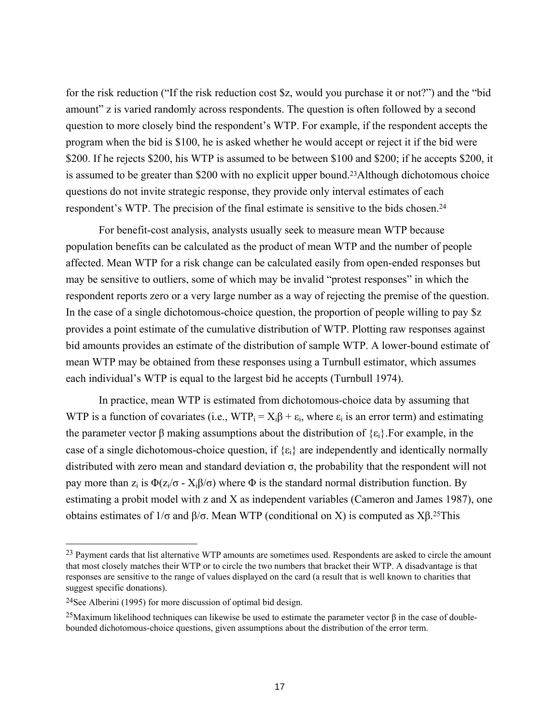for the risk reduction ("If the risk reduction cost \$z, would you purchase it or not?") and the "bid amount" z is varied randomly across respondents. The question is often followed by a second question to more closely bind the respondent's WTP. For example, if the respondent accepts the program when the bid is \$100, he is asked whether he would accept or reject it if the bid were \$200. If he rejects \$200, his WTP is assumed to be between \$100 and \$200; if he accepts \$200, it is assumed to be greater than \$200 with no explicit upper bound.23Although dichotomous choice questions do not invite strategic response, they provide only interval estimates of each respondent's WTP. The precision of the final estimate is sensitive to the bids chosen.24

For benefit-cost analysis, analysts usually seek to measure mean WTP because population benefits can be calculated as the product of mean WTP and the number of people affected. Mean WTP for a risk change can be calculated easily from open-ended responses but may be sensitive to outliers, some of which may be invalid "protest responses" in which the respondent reports zero or a very large number as a way of rejecting the premise of the question. In the case of a single dichotomous-choice question, the proportion of people willing to pay \$z provides a point estimate of the cumulative distribution of WTP. Plotting raw responses against bid amounts provides an estimate of the distribution of sample WTP. A lower-bound estimate of mean WTP may be obtained from these responses using a Turnbull estimator, which assumes each individual's WTP is equal to the largest bid he accepts (Turnbull 1974).

In practice, mean WTP is estimated from dichotomous-choice data by assuming that WTP is a function of covariates (i.e., WTP<sub>i</sub> =  $X_i\beta + \varepsilon_i$ , where  $\varepsilon_i$  is an error term) and estimating the parameter vector  $\beta$  making assumptions about the distribution of  $\{\epsilon_i\}$ . For example, in the case of a single dichotomous-choice question, if  $\{\epsilon_i\}$  are independently and identically normally distributed with zero mean and standard deviation  $\sigma$ , the probability that the respondent will not pay more than  $z_i$  is  $\Phi(z_i/\sigma - X_i\beta/\sigma)$  where  $\Phi$  is the standard normal distribution function. By estimating a probit model with z and X as independent variables (Cameron and James 1987), one obtains estimates of  $1/\sigma$  and  $\beta/\sigma$ . Mean WTP (conditional on X) is computed as Xβ.<sup>25</sup>This

<sup>&</sup>lt;sup>23</sup> Payment cards that list alternative WTP amounts are sometimes used. Respondents are asked to circle the amount that most closely matches their WTP or to circle the two numbers that bracket their WTP. A disadvantage is that responses are sensitive to the range of values displayed on the card (a result that is well known to charities that suggest specific donations).

<sup>24</sup>See Alberini (1995) for more discussion of optimal bid design.

<sup>&</sup>lt;sup>25</sup>Maximum likelihood techniques can likewise be used to estimate the parameter vector β in the case of doublebounded dichotomous-choice questions, given assumptions about the distribution of the error term.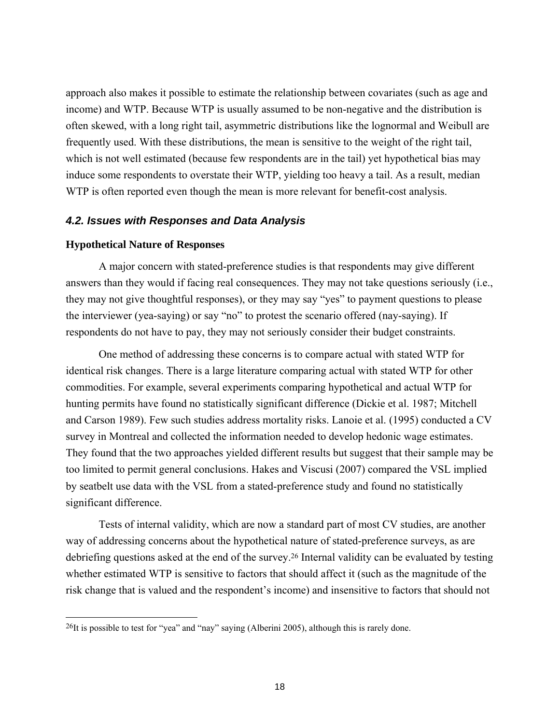approach also makes it possible to estimate the relationship between covariates (such as age and income) and WTP. Because WTP is usually assumed to be non-negative and the distribution is often skewed, with a long right tail, asymmetric distributions like the lognormal and Weibull are frequently used. With these distributions, the mean is sensitive to the weight of the right tail, which is not well estimated (because few respondents are in the tail) yet hypothetical bias may induce some respondents to overstate their WTP, yielding too heavy a tail. As a result, median WTP is often reported even though the mean is more relevant for benefit-cost analysis.

### *4.2. Issues with Responses and Data Analysis*

#### **Hypothetical Nature of Responses**

 $\overline{a}$ 

A major concern with stated-preference studies is that respondents may give different answers than they would if facing real consequences. They may not take questions seriously (i.e., they may not give thoughtful responses), or they may say "yes" to payment questions to please the interviewer (yea-saying) or say "no" to protest the scenario offered (nay-saying). If respondents do not have to pay, they may not seriously consider their budget constraints.

One method of addressing these concerns is to compare actual with stated WTP for identical risk changes. There is a large literature comparing actual with stated WTP for other commodities. For example, several experiments comparing hypothetical and actual WTP for hunting permits have found no statistically significant difference (Dickie et al. 1987; Mitchell and Carson 1989). Few such studies address mortality risks. Lanoie et al. (1995) conducted a CV survey in Montreal and collected the information needed to develop hedonic wage estimates. They found that the two approaches yielded different results but suggest that their sample may be too limited to permit general conclusions. Hakes and Viscusi (2007) compared the VSL implied by seatbelt use data with the VSL from a stated-preference study and found no statistically significant difference.

Tests of internal validity, which are now a standard part of most CV studies, are another way of addressing concerns about the hypothetical nature of stated-preference surveys, as are debriefing questions asked at the end of the survey.26 Internal validity can be evaluated by testing whether estimated WTP is sensitive to factors that should affect it (such as the magnitude of the risk change that is valued and the respondent's income) and insensitive to factors that should not

<sup>26</sup>It is possible to test for "yea" and "nay" saying (Alberini 2005), although this is rarely done.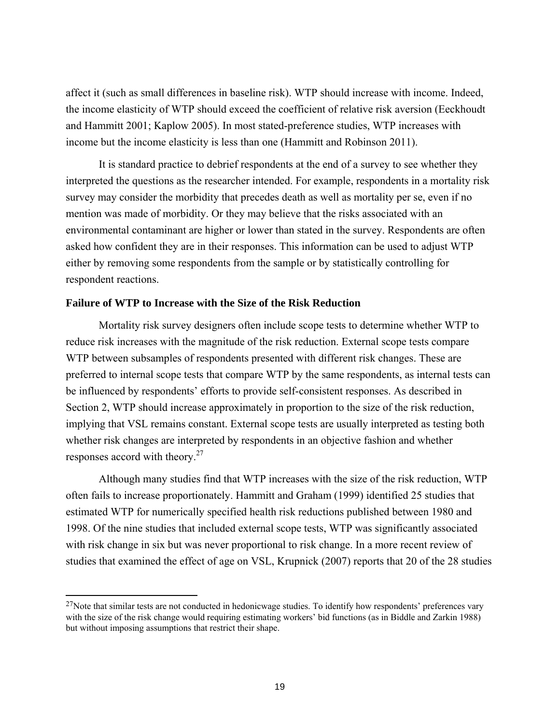affect it (such as small differences in baseline risk). WTP should increase with income. Indeed, the income elasticity of WTP should exceed the coefficient of relative risk aversion (Eeckhoudt and Hammitt 2001; Kaplow 2005). In most stated-preference studies, WTP increases with income but the income elasticity is less than one (Hammitt and Robinson 2011).

It is standard practice to debrief respondents at the end of a survey to see whether they interpreted the questions as the researcher intended. For example, respondents in a mortality risk survey may consider the morbidity that precedes death as well as mortality per se, even if no mention was made of morbidity. Or they may believe that the risks associated with an environmental contaminant are higher or lower than stated in the survey. Respondents are often asked how confident they are in their responses. This information can be used to adjust WTP either by removing some respondents from the sample or by statistically controlling for respondent reactions.

# **Failure of WTP to Increase with the Size of the Risk Reduction**

 $\overline{a}$ 

Mortality risk survey designers often include scope tests to determine whether WTP to reduce risk increases with the magnitude of the risk reduction. External scope tests compare WTP between subsamples of respondents presented with different risk changes. These are preferred to internal scope tests that compare WTP by the same respondents, as internal tests can be influenced by respondents' efforts to provide self-consistent responses. As described in Section 2, WTP should increase approximately in proportion to the size of the risk reduction, implying that VSL remains constant. External scope tests are usually interpreted as testing both whether risk changes are interpreted by respondents in an objective fashion and whether responses accord with theory.<sup>27</sup>

Although many studies find that WTP increases with the size of the risk reduction, WTP often fails to increase proportionately. Hammitt and Graham (1999) identified 25 studies that estimated WTP for numerically specified health risk reductions published between 1980 and 1998. Of the nine studies that included external scope tests, WTP was significantly associated with risk change in six but was never proportional to risk change. In a more recent review of studies that examined the effect of age on VSL, Krupnick (2007) reports that 20 of the 28 studies

 $^{27}$ Note that similar tests are not conducted in hedonicwage studies. To identify how respondents' preferences vary with the size of the risk change would requiring estimating workers' bid functions (as in Biddle and Zarkin 1988) but without imposing assumptions that restrict their shape.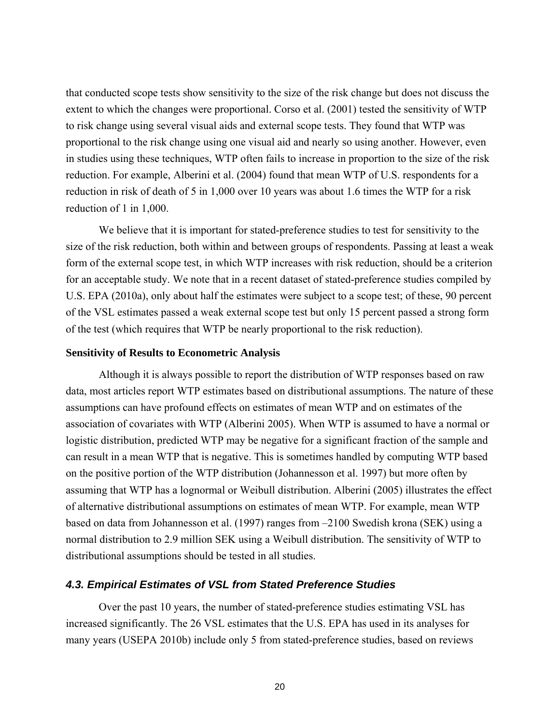that conducted scope tests show sensitivity to the size of the risk change but does not discuss the extent to which the changes were proportional. Corso et al. (2001) tested the sensitivity of WTP to risk change using several visual aids and external scope tests. They found that WTP was proportional to the risk change using one visual aid and nearly so using another. However, even in studies using these techniques, WTP often fails to increase in proportion to the size of the risk reduction. For example, Alberini et al. (2004) found that mean WTP of U.S. respondents for a reduction in risk of death of 5 in 1,000 over 10 years was about 1.6 times the WTP for a risk reduction of 1 in 1,000.

We believe that it is important for stated-preference studies to test for sensitivity to the size of the risk reduction, both within and between groups of respondents. Passing at least a weak form of the external scope test, in which WTP increases with risk reduction, should be a criterion for an acceptable study. We note that in a recent dataset of stated-preference studies compiled by U.S. EPA (2010a), only about half the estimates were subject to a scope test; of these, 90 percent of the VSL estimates passed a weak external scope test but only 15 percent passed a strong form of the test (which requires that WTP be nearly proportional to the risk reduction).

#### **Sensitivity of Results to Econometric Analysis**

Although it is always possible to report the distribution of WTP responses based on raw data, most articles report WTP estimates based on distributional assumptions. The nature of these assumptions can have profound effects on estimates of mean WTP and on estimates of the association of covariates with WTP (Alberini 2005). When WTP is assumed to have a normal or logistic distribution, predicted WTP may be negative for a significant fraction of the sample and can result in a mean WTP that is negative. This is sometimes handled by computing WTP based on the positive portion of the WTP distribution (Johannesson et al. 1997) but more often by assuming that WTP has a lognormal or Weibull distribution. Alberini (2005) illustrates the effect of alternative distributional assumptions on estimates of mean WTP. For example, mean WTP based on data from Johannesson et al. (1997) ranges from –2100 Swedish krona (SEK) using a normal distribution to 2.9 million SEK using a Weibull distribution. The sensitivity of WTP to distributional assumptions should be tested in all studies.

# *4.3. Empirical Estimates of VSL from Stated Preference Studies*

Over the past 10 years, the number of stated-preference studies estimating VSL has increased significantly. The 26 VSL estimates that the U.S. EPA has used in its analyses for many years (USEPA 2010b) include only 5 from stated-preference studies, based on reviews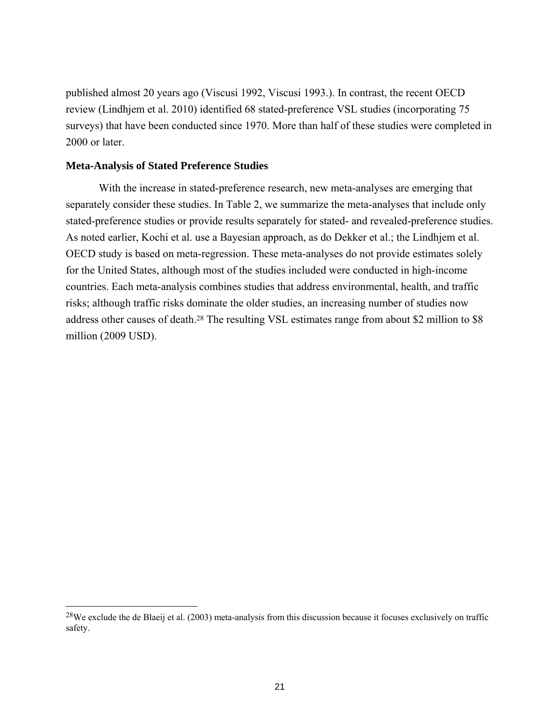published almost 20 years ago (Viscusi 1992, Viscusi 1993.). In contrast, the recent OECD review (Lindhjem et al. 2010) identified 68 stated-preference VSL studies (incorporating 75 surveys) that have been conducted since 1970. More than half of these studies were completed in 2000 or later.

# **Meta-Analysis of Stated Preference Studies**

 $\overline{a}$ 

With the increase in stated-preference research, new meta-analyses are emerging that separately consider these studies. In Table 2, we summarize the meta-analyses that include only stated-preference studies or provide results separately for stated- and revealed-preference studies. As noted earlier, Kochi et al. use a Bayesian approach, as do Dekker et al.; the Lindhjem et al. OECD study is based on meta-regression. These meta-analyses do not provide estimates solely for the United States, although most of the studies included were conducted in high-income countries. Each meta-analysis combines studies that address environmental, health, and traffic risks; although traffic risks dominate the older studies, an increasing number of studies now address other causes of death.28 The resulting VSL estimates range from about \$2 million to \$8 million (2009 USD).

<sup>&</sup>lt;sup>28</sup>We exclude the de Blaeij et al. (2003) meta-analysis from this discussion because it focuses exclusively on traffic safety.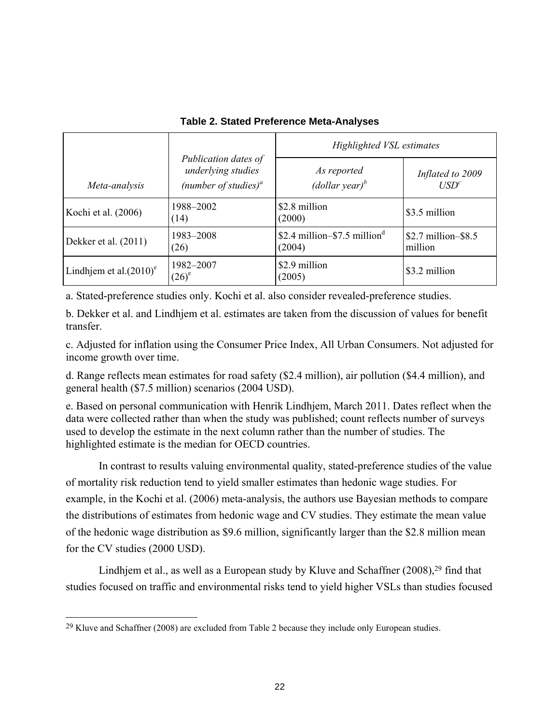|                            |                                                                                       | Highlighted VSL estimates                            |                                      |  |
|----------------------------|---------------------------------------------------------------------------------------|------------------------------------------------------|--------------------------------------|--|
| Meta-analysis              | Publication dates of<br>underlying studies<br>(number of studies) <sup><i>a</i></sup> | As reported<br>$\left(\text{dollar year}\right)^b$   | Inflated to 2009<br>USD <sup>c</sup> |  |
| Kochi et al. (2006)        | 1988-2002<br>(14)                                                                     | \$2.8 million<br>(2000)                              | \$3.5 million                        |  |
| Dekker et al. $(2011)$     | 1983-2008<br>(26)                                                                     | \$2.4 million- $$7.5$ million <sup>d</sup><br>(2004) | $$2.7$ million- $$8.5$<br>million    |  |
| Lindhjem et al. $(2010)^e$ | 1982-2007<br>$(26)^e$                                                                 | \$2.9 million<br>(2005)                              | \$3.2 million                        |  |

**Table 2. Stated Preference Meta-Analyses** 

a. Stated-preference studies only. Kochi et al. also consider revealed-preference studies.

b. Dekker et al. and Lindhjem et al. estimates are taken from the discussion of values for benefit transfer.

c. Adjusted for inflation using the Consumer Price Index, All Urban Consumers. Not adjusted for income growth over time.

d. Range reflects mean estimates for road safety (\$2.4 million), air pollution (\$4.4 million), and general health (\$7.5 million) scenarios (2004 USD).

e. Based on personal communication with Henrik Lindhjem, March 2011. Dates reflect when the data were collected rather than when the study was published; count reflects number of surveys used to develop the estimate in the next column rather than the number of studies. The highlighted estimate is the median for OECD countries.

In contrast to results valuing environmental quality, stated-preference studies of the value of mortality risk reduction tend to yield smaller estimates than hedonic wage studies. For example, in the Kochi et al. (2006) meta-analysis, the authors use Bayesian methods to compare the distributions of estimates from hedonic wage and CV studies. They estimate the mean value of the hedonic wage distribution as \$9.6 million, significantly larger than the \$2.8 million mean for the CV studies (2000 USD).

Lindhjem et al., as well as a European study by Kluve and Schaffner  $(2008)$ <sup>29</sup> find that studies focused on traffic and environmental risks tend to yield higher VSLs than studies focused

1

 $^{29}$  Kluve and Schaffner (2008) are excluded from Table 2 because they include only European studies.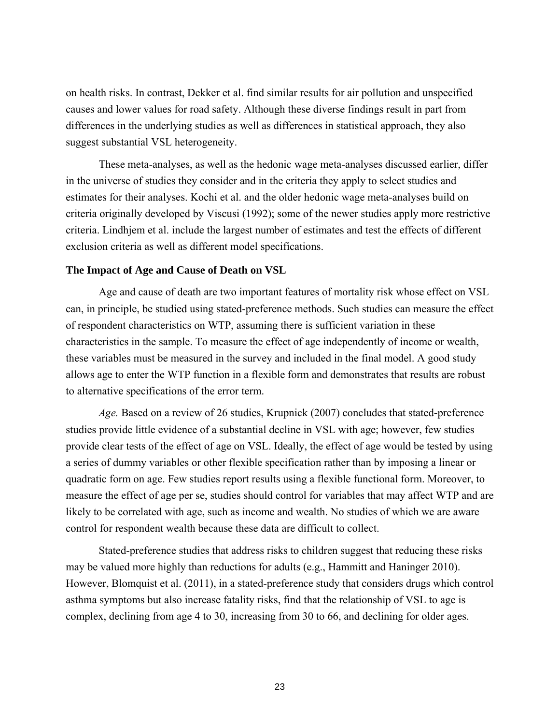on health risks. In contrast, Dekker et al. find similar results for air pollution and unspecified causes and lower values for road safety. Although these diverse findings result in part from differences in the underlying studies as well as differences in statistical approach, they also suggest substantial VSL heterogeneity.

These meta-analyses, as well as the hedonic wage meta-analyses discussed earlier, differ in the universe of studies they consider and in the criteria they apply to select studies and estimates for their analyses. Kochi et al. and the older hedonic wage meta-analyses build on criteria originally developed by Viscusi (1992); some of the newer studies apply more restrictive criteria. Lindhjem et al. include the largest number of estimates and test the effects of different exclusion criteria as well as different model specifications.

#### **The Impact of Age and Cause of Death on VSL**

Age and cause of death are two important features of mortality risk whose effect on VSL can, in principle, be studied using stated-preference methods. Such studies can measure the effect of respondent characteristics on WTP, assuming there is sufficient variation in these characteristics in the sample. To measure the effect of age independently of income or wealth, these variables must be measured in the survey and included in the final model. A good study allows age to enter the WTP function in a flexible form and demonstrates that results are robust to alternative specifications of the error term.

*Age.* Based on a review of 26 studies, Krupnick (2007) concludes that stated-preference studies provide little evidence of a substantial decline in VSL with age; however, few studies provide clear tests of the effect of age on VSL. Ideally, the effect of age would be tested by using a series of dummy variables or other flexible specification rather than by imposing a linear or quadratic form on age. Few studies report results using a flexible functional form. Moreover, to measure the effect of age per se, studies should control for variables that may affect WTP and are likely to be correlated with age, such as income and wealth. No studies of which we are aware control for respondent wealth because these data are difficult to collect.

Stated-preference studies that address risks to children suggest that reducing these risks may be valued more highly than reductions for adults (e.g., Hammitt and Haninger 2010). However, Blomquist et al. (2011), in a stated-preference study that considers drugs which control asthma symptoms but also increase fatality risks, find that the relationship of VSL to age is complex, declining from age 4 to 30, increasing from 30 to 66, and declining for older ages.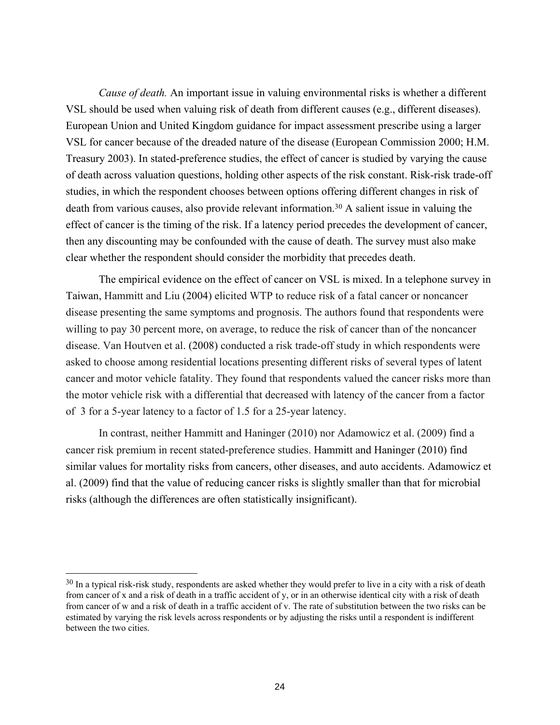*Cause of death.* An important issue in valuing environmental risks is whether a different VSL should be used when valuing risk of death from different causes (e.g., different diseases). European Union and United Kingdom guidance for impact assessment prescribe using a larger VSL for cancer because of the dreaded nature of the disease (European Commission 2000; H.M. Treasury 2003). In stated-preference studies, the effect of cancer is studied by varying the cause of death across valuation questions, holding other aspects of the risk constant. Risk-risk trade-off studies, in which the respondent chooses between options offering different changes in risk of death from various causes, also provide relevant information.30 A salient issue in valuing the effect of cancer is the timing of the risk. If a latency period precedes the development of cancer, then any discounting may be confounded with the cause of death. The survey must also make clear whether the respondent should consider the morbidity that precedes death.

The empirical evidence on the effect of cancer on VSL is mixed. In a telephone survey in Taiwan, Hammitt and Liu (2004) elicited WTP to reduce risk of a fatal cancer or noncancer disease presenting the same symptoms and prognosis. The authors found that respondents were willing to pay 30 percent more, on average, to reduce the risk of cancer than of the noncancer disease. Van Houtven et al. (2008) conducted a risk trade-off study in which respondents were asked to choose among residential locations presenting different risks of several types of latent cancer and motor vehicle fatality. They found that respondents valued the cancer risks more than the motor vehicle risk with a differential that decreased with latency of the cancer from a factor of 3 for a 5-year latency to a factor of 1.5 for a 25-year latency.

In contrast, neither Hammitt and Haninger (2010) nor Adamowicz et al. (2009) find a cancer risk premium in recent stated-preference studies. Hammitt and Haninger (2010) find similar values for mortality risks from cancers, other diseases, and auto accidents. Adamowicz et al. (2009) find that the value of reducing cancer risks is slightly smaller than that for microbial risks (although the differences are often statistically insignificant).

<sup>&</sup>lt;sup>30</sup> In a typical risk-risk study, respondents are asked whether they would prefer to live in a city with a risk of death from cancer of x and a risk of death in a traffic accident of y, or in an otherwise identical city with a risk of death from cancer of w and a risk of death in a traffic accident of v. The rate of substitution between the two risks can be estimated by varying the risk levels across respondents or by adjusting the risks until a respondent is indifferent between the two cities.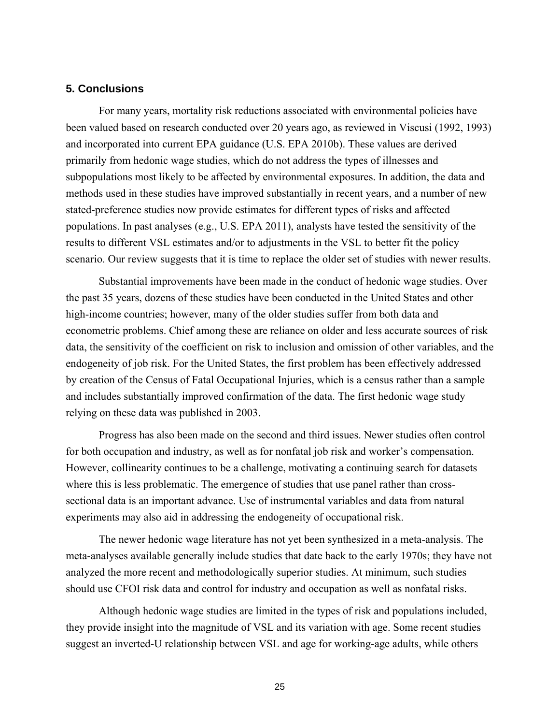# **5. Conclusions**

For many years, mortality risk reductions associated with environmental policies have been valued based on research conducted over 20 years ago, as reviewed in Viscusi (1992, 1993) and incorporated into current EPA guidance (U.S. EPA 2010b). These values are derived primarily from hedonic wage studies, which do not address the types of illnesses and subpopulations most likely to be affected by environmental exposures. In addition, the data and methods used in these studies have improved substantially in recent years, and a number of new stated-preference studies now provide estimates for different types of risks and affected populations. In past analyses (e.g., U.S. EPA 2011), analysts have tested the sensitivity of the results to different VSL estimates and/or to adjustments in the VSL to better fit the policy scenario. Our review suggests that it is time to replace the older set of studies with newer results.

Substantial improvements have been made in the conduct of hedonic wage studies. Over the past 35 years, dozens of these studies have been conducted in the United States and other high-income countries; however, many of the older studies suffer from both data and econometric problems. Chief among these are reliance on older and less accurate sources of risk data, the sensitivity of the coefficient on risk to inclusion and omission of other variables, and the endogeneity of job risk. For the United States, the first problem has been effectively addressed by creation of the Census of Fatal Occupational Injuries, which is a census rather than a sample and includes substantially improved confirmation of the data. The first hedonic wage study relying on these data was published in 2003.

Progress has also been made on the second and third issues. Newer studies often control for both occupation and industry, as well as for nonfatal job risk and worker's compensation. However, collinearity continues to be a challenge, motivating a continuing search for datasets where this is less problematic. The emergence of studies that use panel rather than crosssectional data is an important advance. Use of instrumental variables and data from natural experiments may also aid in addressing the endogeneity of occupational risk.

The newer hedonic wage literature has not yet been synthesized in a meta-analysis. The meta-analyses available generally include studies that date back to the early 1970s; they have not analyzed the more recent and methodologically superior studies. At minimum, such studies should use CFOI risk data and control for industry and occupation as well as nonfatal risks.

Although hedonic wage studies are limited in the types of risk and populations included, they provide insight into the magnitude of VSL and its variation with age. Some recent studies suggest an inverted-U relationship between VSL and age for working-age adults, while others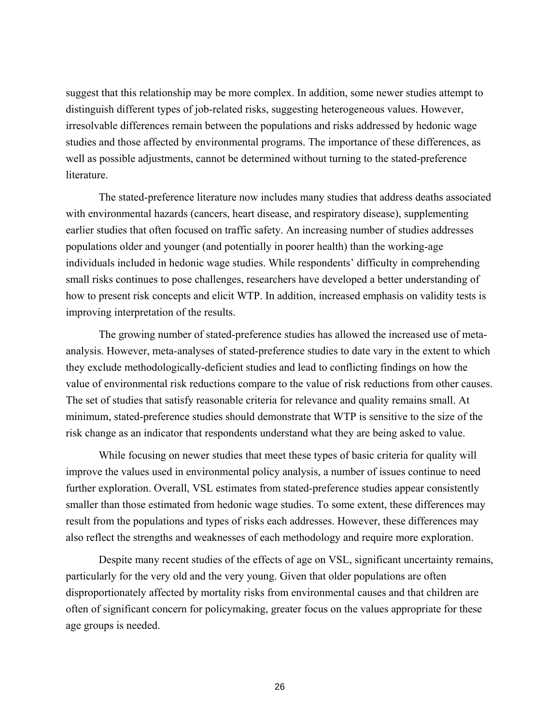suggest that this relationship may be more complex. In addition, some newer studies attempt to distinguish different types of job-related risks, suggesting heterogeneous values. However, irresolvable differences remain between the populations and risks addressed by hedonic wage studies and those affected by environmental programs. The importance of these differences, as well as possible adjustments, cannot be determined without turning to the stated-preference literature.

The stated-preference literature now includes many studies that address deaths associated with environmental hazards (cancers, heart disease, and respiratory disease), supplementing earlier studies that often focused on traffic safety. An increasing number of studies addresses populations older and younger (and potentially in poorer health) than the working-age individuals included in hedonic wage studies. While respondents' difficulty in comprehending small risks continues to pose challenges, researchers have developed a better understanding of how to present risk concepts and elicit WTP. In addition, increased emphasis on validity tests is improving interpretation of the results.

The growing number of stated-preference studies has allowed the increased use of metaanalysis. However, meta-analyses of stated-preference studies to date vary in the extent to which they exclude methodologically-deficient studies and lead to conflicting findings on how the value of environmental risk reductions compare to the value of risk reductions from other causes. The set of studies that satisfy reasonable criteria for relevance and quality remains small. At minimum, stated-preference studies should demonstrate that WTP is sensitive to the size of the risk change as an indicator that respondents understand what they are being asked to value.

While focusing on newer studies that meet these types of basic criteria for quality will improve the values used in environmental policy analysis, a number of issues continue to need further exploration. Overall, VSL estimates from stated-preference studies appear consistently smaller than those estimated from hedonic wage studies. To some extent, these differences may result from the populations and types of risks each addresses. However, these differences may also reflect the strengths and weaknesses of each methodology and require more exploration.

Despite many recent studies of the effects of age on VSL, significant uncertainty remains, particularly for the very old and the very young. Given that older populations are often disproportionately affected by mortality risks from environmental causes and that children are often of significant concern for policymaking, greater focus on the values appropriate for these age groups is needed.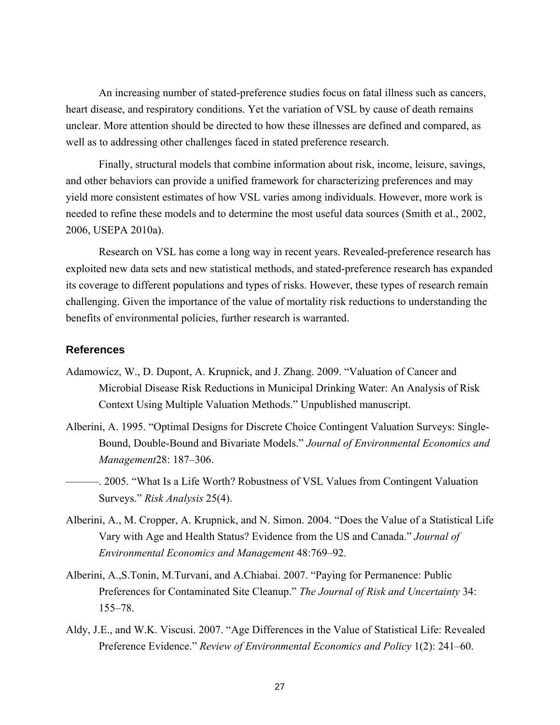An increasing number of stated-preference studies focus on fatal illness such as cancers, heart disease, and respiratory conditions. Yet the variation of VSL by cause of death remains unclear. More attention should be directed to how these illnesses are defined and compared, as well as to addressing other challenges faced in stated preference research.

Finally, structural models that combine information about risk, income, leisure, savings, and other behaviors can provide a unified framework for characterizing preferences and may yield more consistent estimates of how VSL varies among individuals. However, more work is needed to refine these models and to determine the most useful data sources (Smith et al., 2002, 2006, USEPA 2010a).

Research on VSL has come a long way in recent years. Revealed-preference research has exploited new data sets and new statistical methods, and stated-preference research has expanded its coverage to different populations and types of risks. However, these types of research remain challenging. Given the importance of the value of mortality risk reductions to understanding the benefits of environmental policies, further research is warranted.

### **References**

- Adamowicz, W., D. Dupont, A. Krupnick, and J. Zhang. 2009. "Valuation of Cancer and Microbial Disease Risk Reductions in Municipal Drinking Water: An Analysis of Risk Context Using Multiple Valuation Methods." Unpublished manuscript.
- Alberini, A. 1995. "Optimal Designs for Discrete Choice Contingent Valuation Surveys: Single-Bound, Double-Bound and Bivariate Models." *Journal of Environmental Economics and Management*28: 187–306.
	- ———. 2005. "What Is a Life Worth? Robustness of VSL Values from Contingent Valuation Surveys." *Risk Analysis* 25(4).
- Alberini, A., M. Cropper, A. Krupnick, and N. Simon. 2004. "Does the Value of a Statistical Life Vary with Age and Health Status? Evidence from the US and Canada." *Journal of Environmental Economics and Management* 48:769–92.
- Alberini, A.,S.Tonin, M.Turvani, and A.Chiabai. 2007. "Paying for Permanence: Public Preferences for Contaminated Site Cleanup." *The Journal of Risk and Uncertainty* 34: 155–78.
- Aldy, J.E., and W.K. Viscusi. 2007. "Age Differences in the Value of Statistical Life: Revealed Preference Evidence." *Review of Environmental Economics and Policy* 1(2): 241–60.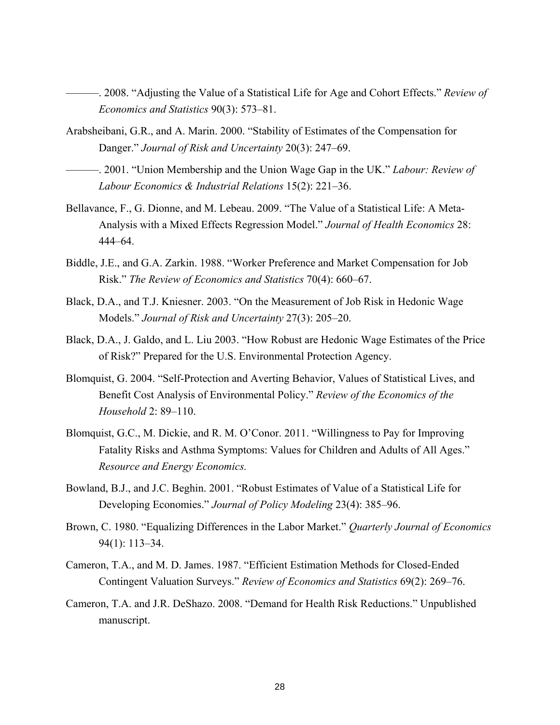- ———. 2008. "Adjusting the Value of a Statistical Life for Age and Cohort Effects." *Review of Economics and Statistics* 90(3): 573–81.
- Arabsheibani, G.R., and A. Marin. 2000. "Stability of Estimates of the Compensation for Danger." *Journal of Risk and Uncertainty* 20(3): 247–69.
- ———. 2001. "Union Membership and the Union Wage Gap in the UK." *Labour: Review of Labour Economics & Industrial Relations* 15(2): 221–36.
- Bellavance, F., G. Dionne, and M. Lebeau. 2009. "The Value of a Statistical Life: A Meta-Analysis with a Mixed Effects Regression Model." *Journal of Health Economics* 28: 444–64.
- Biddle, J.E., and G.A. Zarkin. 1988. "Worker Preference and Market Compensation for Job Risk." *The Review of Economics and Statistics* 70(4): 660–67.
- Black, D.A., and T.J. Kniesner. 2003. "On the Measurement of Job Risk in Hedonic Wage Models." *Journal of Risk and Uncertainty* 27(3): 205–20.
- Black, D.A., J. Galdo, and L. Liu 2003. "How Robust are Hedonic Wage Estimates of the Price of Risk?" Prepared for the U.S. Environmental Protection Agency.
- Blomquist, G. 2004. "Self-Protection and Averting Behavior, Values of Statistical Lives, and Benefit Cost Analysis of Environmental Policy." *Review of the Economics of the Household* 2: 89–110.
- Blomquist, G.C., M. Dickie, and R. M. O'Conor. 2011. "Willingness to Pay for Improving Fatality Risks and Asthma Symptoms: Values for Children and Adults of All Ages." *Resource and Energy Economics.*
- Bowland, B.J., and J.C. Beghin. 2001. "Robust Estimates of Value of a Statistical Life for Developing Economies." *Journal of Policy Modeling* 23(4): 385–96.
- Brown, C. 1980. "Equalizing Differences in the Labor Market." *Quarterly Journal of Economics* 94(1): 113–34.
- Cameron, T.A., and M. D. James. 1987. "Efficient Estimation Methods for Closed-Ended Contingent Valuation Surveys." *Review of Economics and Statistics* 69(2): 269–76.
- Cameron, T.A. and J.R. DeShazo. 2008. "Demand for Health Risk Reductions." Unpublished manuscript.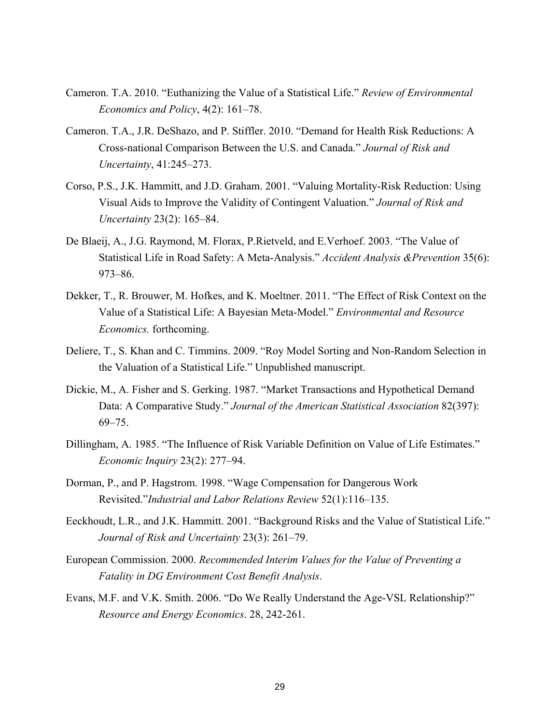- Cameron. T.A. 2010. "Euthanizing the Value of a Statistical Life." *Review of Environmental Economics and Policy*, 4(2): 161–78.
- Cameron. T.A., J.R. DeShazo, and P. Stiffler. 2010. "Demand for Health Risk Reductions: A Cross-national Comparison Between the U.S. and Canada." *Journal of Risk and Uncertainty*, 41:245–273.
- Corso, P.S., J.K. Hammitt, and J.D. Graham. 2001. "Valuing Mortality-Risk Reduction: Using Visual Aids to Improve the Validity of Contingent Valuation." *Journal of Risk and Uncertainty* 23(2): 165–84.
- De Blaeij, A., J.G. Raymond, M. Florax, P.Rietveld, and E.Verhoef. 2003. "The Value of Statistical Life in Road Safety: A Meta-Analysis." *Accident Analysis &Prevention* 35(6): 973–86.
- Dekker, T., R. Brouwer, M. Hofkes, and K. Moeltner. 2011. "The Effect of Risk Context on the Value of a Statistical Life: A Bayesian Meta-Model." *Environmental and Resource Economics.* forthcoming.
- Deliere, T., S. Khan and C. Timmins. 2009. "Roy Model Sorting and Non-Random Selection in the Valuation of a Statistical Life." Unpublished manuscript.
- Dickie, M., A. Fisher and S. Gerking. 1987. "Market Transactions and Hypothetical Demand Data: A Comparative Study." *Journal of the American Statistical Association* 82(397): 69–75.
- Dillingham, A. 1985. "The Influence of Risk Variable Definition on Value of Life Estimates." *Economic Inquiry* 23(2): 277–94.
- Dorman, P., and P. Hagstrom. 1998. "Wage Compensation for Dangerous Work Revisited."*Industrial and Labor Relations Review* 52(1):116–135.
- Eeckhoudt, L.R., and J.K. Hammitt. 2001. "Background Risks and the Value of Statistical Life." *Journal of Risk and Uncertainty* 23(3): 261–79.
- European Commission. 2000. *Recommended Interim Values for the Value of Preventing a Fatality in DG Environment Cost Benefit Analysis*.
- Evans, M.F. and V.K. Smith. 2006. "Do We Really Understand the Age-VSL Relationship?" *Resource and Energy Economics*. 28, 242-261.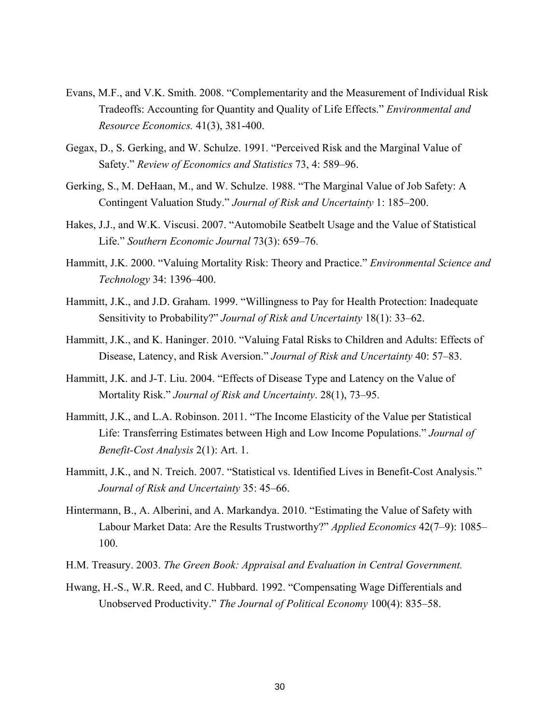- Evans, M.F., and V.K. Smith. 2008. "Complementarity and the Measurement of Individual Risk Tradeoffs: Accounting for Quantity and Quality of Life Effects." *Environmental and Resource Economics.* 41(3), 381-400.
- Gegax, D., S. Gerking, and W. Schulze. 1991. "Perceived Risk and the Marginal Value of Safety." *Review of Economics and Statistics* 73, 4: 589–96.
- Gerking, S., M. DeHaan, M., and W. Schulze. 1988. "The Marginal Value of Job Safety: A Contingent Valuation Study." *Journal of Risk and Uncertainty* 1: 185–200.
- Hakes, J.J., and W.K. Viscusi. 2007. "Automobile Seatbelt Usage and the Value of Statistical Life." *Southern Economic Journal* 73(3): 659–76.
- Hammitt, J.K. 2000. "Valuing Mortality Risk: Theory and Practice." *Environmental Science and Technology* 34: 1396–400.
- Hammitt, J.K., and J.D. Graham. 1999. "Willingness to Pay for Health Protection: Inadequate Sensitivity to Probability?" *Journal of Risk and Uncertainty* 18(1): 33–62.
- Hammitt, J.K., and K. Haninger. 2010. "Valuing Fatal Risks to Children and Adults: Effects of Disease, Latency, and Risk Aversion." *Journal of Risk and Uncertainty* 40: 57–83.
- Hammitt, J.K. and J-T. Liu. 2004. "Effects of Disease Type and Latency on the Value of Mortality Risk." *Journal of Risk and Uncertainty*. 28(1), 73–95.
- Hammitt, J.K., and L.A. Robinson. 2011. "The Income Elasticity of the Value per Statistical Life: Transferring Estimates between High and Low Income Populations." *Journal of Benefit-Cost Analysis* 2(1): Art. 1.
- Hammitt, J.K., and N. Treich. 2007. "Statistical vs. Identified Lives in Benefit-Cost Analysis." *Journal of Risk and Uncertainty* 35: 45–66.
- Hintermann, B., A. Alberini, and A. Markandya. 2010. "Estimating the Value of Safety with Labour Market Data: Are the Results Trustworthy?" *Applied Economics* 42(7–9): 1085– 100.
- H.M. Treasury. 2003. *The Green Book: Appraisal and Evaluation in Central Government.*
- Hwang, H.-S., W.R. Reed, and C. Hubbard. 1992. "Compensating Wage Differentials and Unobserved Productivity." *The Journal of Political Economy* 100(4): 835–58.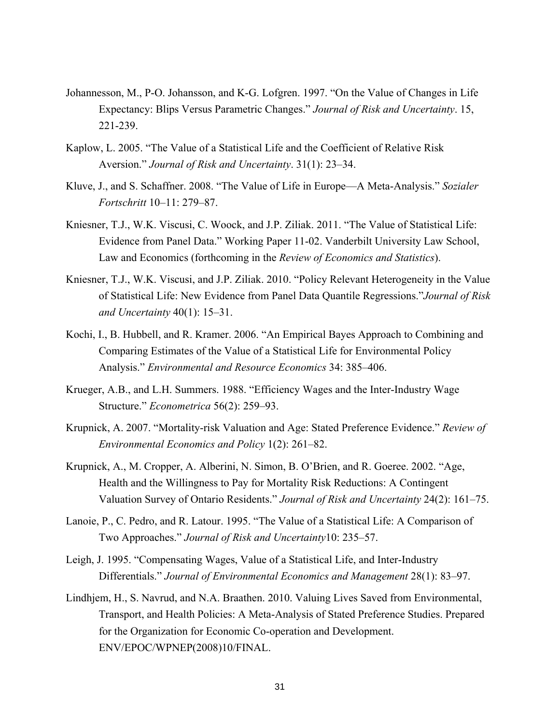- Johannesson, M., P-O. Johansson, and K-G. Lofgren. 1997. "On the Value of Changes in Life Expectancy: Blips Versus Parametric Changes." *Journal of Risk and Uncertainty*. 15, 221-239.
- Kaplow, L. 2005. "The Value of a Statistical Life and the Coefficient of Relative Risk Aversion." *Journal of Risk and Uncertainty*. 31(1): 23–34.
- Kluve, J., and S. Schaffner. 2008. "The Value of Life in Europe—A Meta-Analysis." *Sozialer Fortschritt* 10–11: 279–87.
- Kniesner, T.J., W.K. Viscusi, C. Woock, and J.P. Ziliak. 2011. "The Value of Statistical Life: Evidence from Panel Data." Working Paper 11-02. Vanderbilt University Law School, Law and Economics (forthcoming in the *Review of Economics and Statistics*).
- Kniesner, T.J., W.K. Viscusi, and J.P. Ziliak. 2010. "Policy Relevant Heterogeneity in the Value of Statistical Life: New Evidence from Panel Data Quantile Regressions."*Journal of Risk and Uncertainty* 40(1): 15–31.
- Kochi, I., B. Hubbell, and R. Kramer. 2006. "An Empirical Bayes Approach to Combining and Comparing Estimates of the Value of a Statistical Life for Environmental Policy Analysis." *Environmental and Resource Economics* 34: 385–406.
- Krueger, A.B., and L.H. Summers. 1988. "Efficiency Wages and the Inter-Industry Wage Structure." *Econometrica* 56(2): 259–93.
- Krupnick, A. 2007. "Mortality-risk Valuation and Age: Stated Preference Evidence." *Review of Environmental Economics and Policy* 1(2): 261–82.
- Krupnick, A., M. Cropper, A. Alberini, N. Simon, B. O'Brien, and R. Goeree. 2002. "Age, Health and the Willingness to Pay for Mortality Risk Reductions: A Contingent Valuation Survey of Ontario Residents." *Journal of Risk and Uncertainty* 24(2): 161–75.
- Lanoie, P., C. Pedro, and R. Latour. 1995. "The Value of a Statistical Life: A Comparison of Two Approaches." *Journal of Risk and Uncertainty*10: 235–57.
- Leigh, J. 1995. "Compensating Wages, Value of a Statistical Life, and Inter-Industry Differentials." *Journal of Environmental Economics and Management* 28(1): 83–97.
- Lindhjem, H., S. Navrud, and N.A. Braathen. 2010. Valuing Lives Saved from Environmental, Transport, and Health Policies: A Meta-Analysis of Stated Preference Studies. Prepared for the Organization for Economic Co-operation and Development. ENV/EPOC/WPNEP(2008)10/FINAL.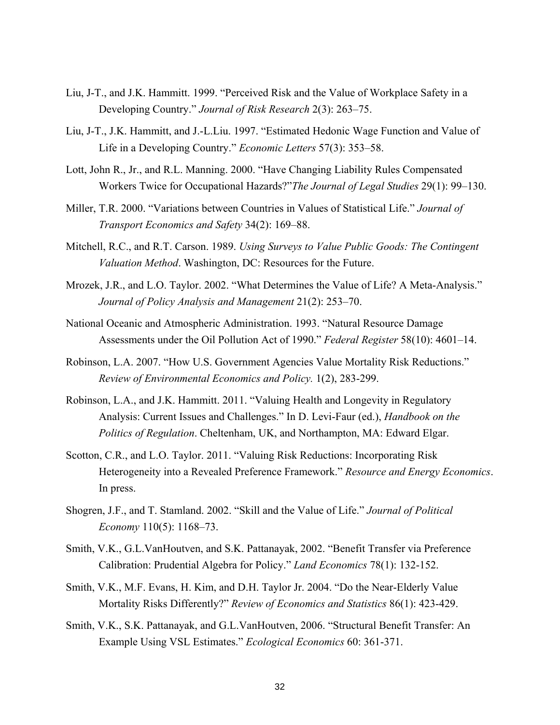- Liu, J-T., and J.K. Hammitt. 1999. "Perceived Risk and the Value of Workplace Safety in a Developing Country." *Journal of Risk Research* 2(3): 263–75.
- Liu, J-T., J.K. Hammitt, and J.-L.Liu. 1997. "Estimated Hedonic Wage Function and Value of Life in a Developing Country." *Economic Letters* 57(3): 353–58.
- Lott, John R., Jr., and R.L. Manning. 2000. "Have Changing Liability Rules Compensated Workers Twice for Occupational Hazards?"*The Journal of Legal Studies* 29(1): 99–130.
- Miller, T.R. 2000. "Variations between Countries in Values of Statistical Life." *Journal of Transport Economics and Safety* 34(2): 169–88.
- Mitchell, R.C., and R.T. Carson. 1989. *Using Surveys to Value Public Goods: The Contingent Valuation Method*. Washington, DC: Resources for the Future.
- Mrozek, J.R., and L.O. Taylor. 2002. "What Determines the Value of Life? A Meta-Analysis." *Journal of Policy Analysis and Management* 21(2): 253–70.
- National Oceanic and Atmospheric Administration. 1993. "Natural Resource Damage Assessments under the Oil Pollution Act of 1990." *Federal Register* 58(10): 4601–14.
- Robinson, L.A. 2007. "How U.S. Government Agencies Value Mortality Risk Reductions." *Review of Environmental Economics and Policy.* 1(2), 283-299.
- Robinson, L.A., and J.K. Hammitt. 2011. "Valuing Health and Longevity in Regulatory Analysis: Current Issues and Challenges." In D. Levi-Faur (ed.), *Handbook on the Politics of Regulation*. Cheltenham, UK, and Northampton, MA: Edward Elgar.
- Scotton, C.R., and L.O. Taylor. 2011. "Valuing Risk Reductions: Incorporating Risk Heterogeneity into a Revealed Preference Framework." *Resource and Energy Economics*. In press.
- Shogren, J.F., and T. Stamland. 2002. "Skill and the Value of Life." *Journal of Political Economy* 110(5): 1168–73.
- Smith, V.K., G.L.VanHoutven, and S.K. Pattanayak, 2002. "Benefit Transfer via Preference Calibration: Prudential Algebra for Policy." *Land Economics* 78(1): 132-152.
- Smith, V.K., M.F. Evans, H. Kim, and D.H. Taylor Jr. 2004. "Do the Near-Elderly Value Mortality Risks Differently?" *Review of Economics and Statistics* 86(1): 423-429.
- Smith, V.K., S.K. Pattanayak, and G.L.VanHoutven, 2006. "Structural Benefit Transfer: An Example Using VSL Estimates." *Ecological Economics* 60: 361-371.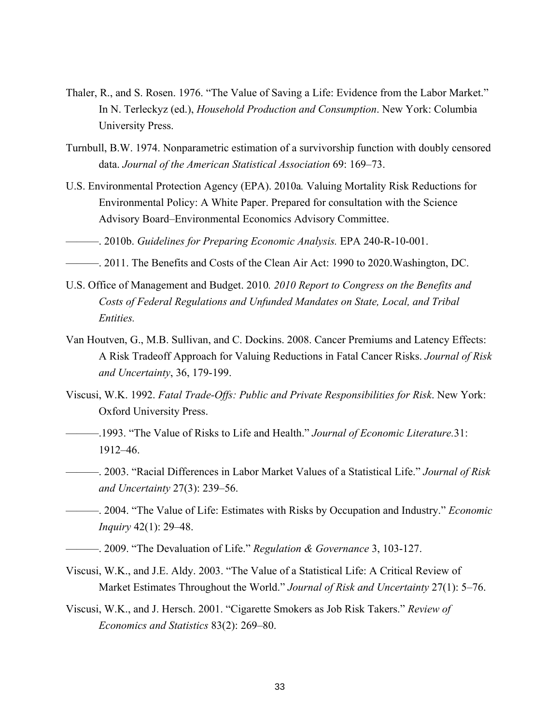- Thaler, R., and S. Rosen. 1976. "The Value of Saving a Life: Evidence from the Labor Market." In N. Terleckyz (ed.), *Household Production and Consumption*. New York: Columbia University Press.
- Turnbull, B.W. 1974. Nonparametric estimation of a survivorship function with doubly censored data. *Journal of the American Statistical Association* 69: 169–73.
- U.S. Environmental Protection Agency (EPA). 2010a*.* Valuing Mortality Risk Reductions for Environmental Policy: A White Paper. Prepared for consultation with the Science Advisory Board–Environmental Economics Advisory Committee.
- ———. 2010b. *Guidelines for Preparing Economic Analysis.* EPA 240-R-10-001.
- ———. 2011. The Benefits and Costs of the Clean Air Act: 1990 to 2020.Washington, DC.
- U.S. Office of Management and Budget. 2010*. 2010 Report to Congress on the Benefits and Costs of Federal Regulations and Unfunded Mandates on State, Local, and Tribal Entities.*
- Van Houtven, G., M.B. Sullivan, and C. Dockins. 2008. Cancer Premiums and Latency Effects: A Risk Tradeoff Approach for Valuing Reductions in Fatal Cancer Risks. *Journal of Risk and Uncertainty*, 36, 179-199.
- Viscusi, W.K. 1992. *Fatal Trade-Offs: Public and Private Responsibilities for Risk*. New York: Oxford University Press.
- ———.1993. "The Value of Risks to Life and Health." *Journal of Economic Literature.*31: 1912–46.
- ———. 2003. "Racial Differences in Labor Market Values of a Statistical Life." *Journal of Risk and Uncertainty* 27(3): 239–56.
- ———. 2004. "The Value of Life: Estimates with Risks by Occupation and Industry." *Economic Inquiry* 42(1): 29–48.
- ———. 2009. "The Devaluation of Life." *Regulation & Governance* 3, 103-127.
- Viscusi, W.K., and J.E. Aldy. 2003. "The Value of a Statistical Life: A Critical Review of Market Estimates Throughout the World." *Journal of Risk and Uncertainty* 27(1): 5–76.
- Viscusi, W.K., and J. Hersch. 2001. "Cigarette Smokers as Job Risk Takers." *Review of Economics and Statistics* 83(2): 269–80.